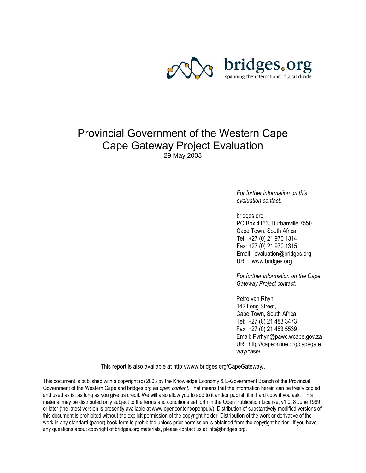

## Provincial Government of the Western Cape Cape Gateway Project Evaluation 29 May 2003

*For further information on this evaluation contact:* 

bridges.org PO Box 4163, Durbanville 7550 Cape Town, South Africa Tel: +27 (0) 21 970 1314 Fax: +27 (0) 21 970 1315 Email: evaluation@bridges.org URL: www.bridges.org

*For further information on the Cape Gateway Project contact:* 

Petro van Rhyn 142 Long Street, Cape Town, South Africa Tel: +27 (0) 21 483 3473 Fax: +27 (0) 21 483 5539 Email: Pvrhyn@pawc.wcape.gov.za URL:http://capeonline.org/capegate way/case/

This report is also available at http://www.bridges.org/CapeGateway/.

This document is published with a copyright (c) 2003 by the Knowledge Economy & E-Government Branch of the Provincial Government of the Western Cape and bridges.org as *open content*. That means that the information herein can be freely copied and used as is, as long as you give us credit. We will also allow you to add to it and/or publish it in hard copy if you ask. This material may be distributed only subject to the terms and conditions set forth in the Open Publication License, v1.0, 8 June 1999 or later (the latest version is presently available at www.opencontent/openpub/). Distribution of substantively modified versions of this document is prohibited without the explicit permission of the copyright holder. Distribution of the work or derivative of the work in any standard (paper) book form is prohibited unless prior permission is obtained from the copyright holder. If you have any questions about copyright of bridges.org materials, please contact us at info@bridges.org.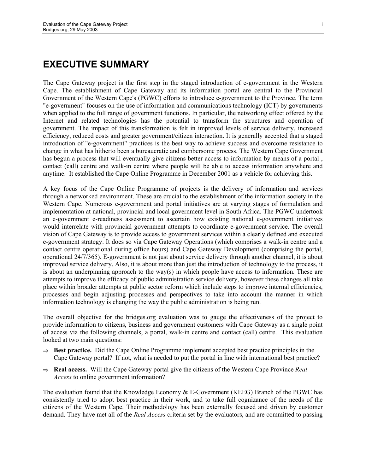## **EXECUTIVE SUMMARY**

The Cape Gateway project is the first step in the staged introduction of e-government in the Western Cape. The establishment of Cape Gateway and its information portal are central to the Provincial Government of the Western Cape's (PGWC) efforts to introduce e-government to the Province. The term "e-government" focuses on the use of information and communications technology (ICT) by governments when applied to the full range of government functions. In particular, the networking effect offered by the Internet and related technologies has the potential to transform the structures and operation of government. The impact of this transformation is felt in improved levels of service delivery, increased efficiency, reduced costs and greater government/citizen interaction. It is generally accepted that a staged introduction of "e-government" practices is the best way to achieve success and overcome resistance to change in what has hitherto been a bureaucratic and cumbersome process. The Western Cape Government has begun a process that will eventually give citizens better access to information by means of a portal , contact (call) centre and walk-in centre where people will be able to access information anywhere and anytime. It established the Cape Online Programme in December 2001 as a vehicle for achieving this.

A key focus of the Cape Online Programme of projects is the delivery of information and services through a networked environment. These are crucial to the establishment of the information society in the Western Cape. Numerous e-government and portal initiatives are at varying stages of formulation and implementation at national, provincial and local government level in South Africa. The PGWC undertook an e-government e-readiness assessment to ascertain how existing national e-government initiatives would interrelate with provincial government attempts to coordinate e-government service. The overall vision of Cape Gateway is to provide access to government services within a clearly defined and executed e-government strategy. It does so via Cape Gateway Operations (which comprises a walk-in centre and a contact centre operational during office hours) and Cape Gateway Development (comprising the portal, operational 24/7/365). E-government is not just about service delivery through another channel, it is about improved service delivery. Also, it is about more than just the introduction of technology to the process, it is about an underpinning approach to the way(s) in which people have access to information. These are attempts to improve the efficacy of public administration service delivery, however these changes all take place within broader attempts at public sector reform which include steps to improve internal efficiencies, processes and begin adjusting processes and perspectives to take into account the manner in which information technology is changing the way the public administration is being run.

The overall objective for the bridges.org evaluation was to gauge the effectiveness of the project to provide information to citizens, business and government customers with Cape Gateway as a single point of access via the following channels, a portal, walk-in centre and contact (call) centre. This evaluation looked at two main questions:

- ⇒ **Best practice.** Did the Cape Online Programme implement accepted best practice principles in the Cape Gateway portal? If not, what is needed to put the portal in line with international best practice?
- ⇒ **Real access.** Will the Cape Gateway portal give the citizens of the Western Cape Province *Real Access* to online government information?

The evaluation found that the Knowledge Economy & E-Government (KEEG) Branch of the PGWC has consistently tried to adopt best practice in their work, and to take full cognizance of the needs of the citizens of the Western Cape. Their methodology has been externally focused and driven by customer demand. They have met all of the *Real Access* criteria set by the evaluators, and are committed to passing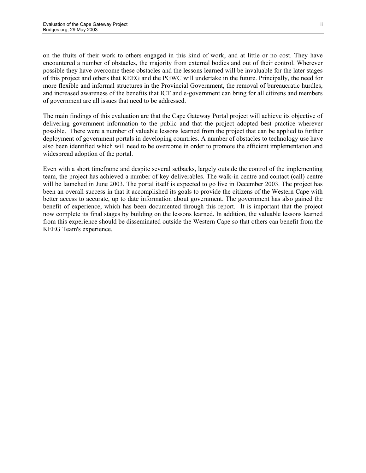on the fruits of their work to others engaged in this kind of work, and at little or no cost. They have encountered a number of obstacles, the majority from external bodies and out of their control. Wherever possible they have overcome these obstacles and the lessons learned will be invaluable for the later stages of this project and others that KEEG and the PGWC will undertake in the future. Principally, the need for more flexible and informal structures in the Provincial Government, the removal of bureaucratic hurdles, and increased awareness of the benefits that ICT and e-government can bring for all citizens and members of government are all issues that need to be addressed.

The main findings of this evaluation are that the Cape Gateway Portal project will achieve its objective of delivering government information to the public and that the project adopted best practice wherever possible. There were a number of valuable lessons learned from the project that can be applied to further deployment of government portals in developing countries. A number of obstacles to technology use have also been identified which will need to be overcome in order to promote the efficient implementation and widespread adoption of the portal.

Even with a short timeframe and despite several setbacks, largely outside the control of the implementing team, the project has achieved a number of key deliverables. The walk-in centre and contact (call) centre will be launched in June 2003. The portal itself is expected to go live in December 2003. The project has been an overall success in that it accomplished its goals to provide the citizens of the Western Cape with better access to accurate, up to date information about government. The government has also gained the benefit of experience, which has been documented through this report. It is important that the project now complete its final stages by building on the lessons learned. In addition, the valuable lessons learned from this experience should be disseminated outside the Western Cape so that others can benefit from the KEEG Team's experience.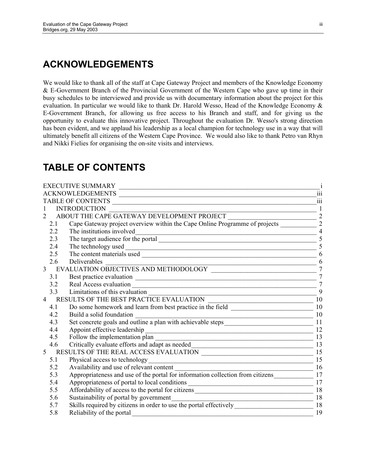# **ACKNOWLEDGEMENTS**

We would like to thank all of the staff at Cape Gateway Project and members of the Knowledge Economy & E-Government Branch of the Provincial Government of the Western Cape who gave up time in their busy schedules to be interviewed and provide us with documentary information about the project for this evaluation. In particular we would like to thank Dr. Harold Wesso, Head of the Knowledge Economy & E-Government Branch, for allowing us free access to his Branch and staff, and for giving us the opportunity to evaluate this innovative project. Throughout the evaluation Dr. Wesso's strong direction has been evident, and we applaud his leadership as a local champion for technology use in a way that will ultimately benefit all citizens of the Western Cape Province. We would also like to thank Petro van Rhyn and Nikki Fielies for organising the on-site visits and interviews.

# **TABLE OF CONTENTS**

|                             | <b>EXECUTIVE SUMMARY</b>                                                                                                                                       |                 |
|-----------------------------|----------------------------------------------------------------------------------------------------------------------------------------------------------------|-----------------|
|                             | ACKNOWLEDGEMENTS                                                                                                                                               | 111             |
|                             | <b>TABLE OF CONTENTS</b><br><u> 1989 - Johann Stoff, deutscher Stoffen und der Stoffen und der Stoffen und der Stoffen und der Stoffen und der</u>             | 111             |
|                             | <b>INTRODUCTION</b><br>$\frac{1}{\sqrt{1-\frac{1}{2}}\left(1-\frac{1}{2}\right)}$                                                                              |                 |
| $\mathcal{D}_{\mathcal{L}}$ | ABOUT THE CAPE GATEWAY DEVELOPMENT PROJECT                                                                                                                     | $\overline{2}$  |
| 2.1                         | DUT THE CAPE GATEWAY DEVELOPMENT PROJECT<br>Cape Gateway project overview within the Cape Online Programme of projects                                         | $\overline{2}$  |
| 2.2                         | The institutions involved                                                                                                                                      | $\overline{4}$  |
| 2.3                         | The target audience for the portal                                                                                                                             | 5               |
| 2.4                         |                                                                                                                                                                | 5               |
| 2.5                         |                                                                                                                                                                | 6               |
| 2.6                         | Deliverables<br><u> 1980 - Jan James James Barbara, politik eta idazlea (h. 1980).</u>                                                                         | 6               |
| $\overline{3}$              |                                                                                                                                                                | $\overline{7}$  |
| 3.1                         |                                                                                                                                                                | $\overline{7}$  |
| 3.2                         | Real Access evaluation<br>Limitations of this evaluation                                                                                                       | $\overline{7}$  |
| 3.3                         |                                                                                                                                                                | 9               |
| $\overline{4}$              | RESULTS OF THE BEST PRACTICE EVALUATION<br>$\frac{10}{\sqrt{311}}$                                                                                             |                 |
| 4.1                         | Do some homework and learn from best practice in the field ______________________                                                                              | 10              |
| 4.2                         | Build a solid foundation<br><u> 1989 - Johann Stoff, deutscher Stoff, der Stoff, der Stoff, der Stoff, der Stoff, der Stoff, der Stoff, der S</u>              | 10              |
| 4.3                         |                                                                                                                                                                |                 |
| 4.4                         |                                                                                                                                                                | 12              |
| 4.5                         |                                                                                                                                                                |                 |
| 4.6                         |                                                                                                                                                                |                 |
| 5                           | 6 Critically evaluate efforts and adapt as needed<br>RESULTS OF THE REAL ACCESS EVALUATION                                                                     |                 |
| 5.1                         | Physical access to technology<br><u> 1989 - Johann Barnett, fransk politiker (d. 1989)</u>                                                                     | 15              |
| 5.2                         | Availability and use of relevant content                                                                                                                       | $\frac{16}{10}$ |
| 5.3                         | Appropriateness and use of the portal for information collection from citizens                                                                                 | 17              |
| 5.4                         | Appropriateness of portal to local conditions ___________________________________                                                                              | 17              |
| 5.5                         |                                                                                                                                                                |                 |
| 5.6                         | Sustainability of portal by government<br><u> Alexandria de la contrada de la contrada de la contrada de la contrada de la contrada de la contrada de la c</u> | 18              |
| 5.7                         | Skills required by citizens in order to use the portal effectively__________________________________                                                           | 18              |
| 5.8                         | Reliability of the portal                                                                                                                                      | 19              |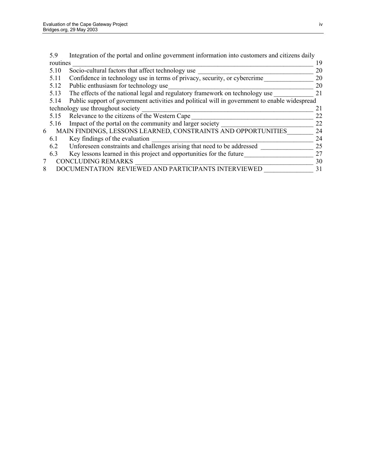|   | 5.9      | Integration of the portal and online government information into customers and citizens daily |    |
|---|----------|-----------------------------------------------------------------------------------------------|----|
|   | routines |                                                                                               | 19 |
|   | 5.10     | Socio-cultural factors that affect technology use                                             | 20 |
|   | 5.11     | Confidence in technology use in terms of privacy, security, or cybercrime                     | 20 |
|   | 5.12     | Public enthusiasm for technology use                                                          | 20 |
|   | 5.13     | The effects of the national legal and regulatory framework on technology use                  | 21 |
|   | 5.14     | Public support of government activities and political will in government to enable widespread |    |
|   |          | technology use throughout society                                                             | 21 |
|   | 5.15     | Relevance to the citizens of the Western Cape                                                 | 22 |
|   | 5.16     | Impact of the portal on the community and larger society                                      | 22 |
| 6 |          | MAIN FINDINGS, LESSONS LEARNED, CONSTRAINTS AND OPPORTUNITIES                                 | 24 |
|   | 6.1      | Key findings of the evaluation                                                                | 24 |
|   | 6.2      | Unforeseen constraints and challenges arising that need to be addressed                       | 25 |
|   | 6.3      | Key lessons learned in this project and opportunities for the future                          | 27 |
|   |          | <b>CONCLUDING REMARKS</b>                                                                     | 30 |
| 8 |          | DOCUMENTATION REVIEWED AND PARTICIPANTS INTERVIEWED                                           | 31 |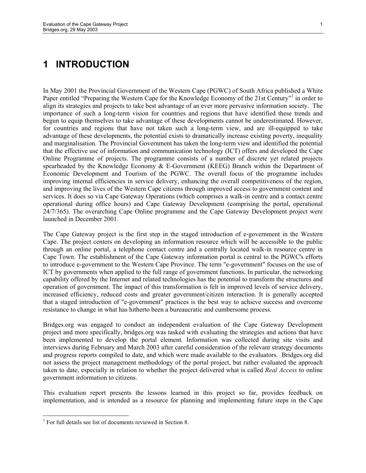## **1 INTRODUCTION**

In May 2001 the Provincial Government of the Western Cape (PGWC) of South Africa published a White Paper entitled "Preparing the Western Cape for the Knowledge Economy of the 21st Century" in order to align its strategies and projects to take best advantage of an ever more pervasive information society. The importance of such a long-term vision for countries and regions that have identified these trends and begun to equip themselves to take advantage of these developments cannot be underestimated. However, for countries and regions that have not taken such a long-term view, and are ill-equipped to take advantage of these developments, the potential exists to dramatically increase existing poverty, inequality and marginalisation. The Provincial Government has taken the long-term view and identified the potential that the effective use of information and communication technology (ICT) offers and developed the Cape Online Programme of projects. The programme consists of a number of discrete yet related projects spearheaded by the Knowledge Economy & E-Government (KEEG) Branch within the Department of Economic Development and Tourism of the PGWC. The overall focus of the programme includes improving internal efficiencies in service delivery, enhancing the overall competitiveness of the region, and improving the lives of the Western Cape citizens through improved access to government content and services. It does so via Cape Gateway Operations (which comprises a walk-in centre and a contact centre operational during office hours) and Cape Gateway Development (comprising the portal, operational 24/7/365). The overarching Cape Online programme and the Cape Gateway Development project were launched in December 2001.

The Cape Gateway project is the first step in the staged introduction of e-government in the Western Cape. The project centers on developing an information resource which will be accessible to the public through an online portal, a telephone contact centre and a centrally located walk-in resource centre in Cape Town. The establishment of the Cape Gateway information portal is central to the PGWC's efforts to introduce e-government to the Western Cape Province. The term "e-government" focuses on the use of ICT by governments when applied to the full range of government functions. In particular, the networking capability offered by the Internet and related technologies has the potential to transform the structures and operation of government. The impact of this transformation is felt in improved levels of service delivery, increased efficiency, reduced costs and greater government/citizen interaction. It is generally accepted that a staged introduction of "e-government" practices is the best way to achieve success and overcome resistance to change in what has hitherto been a bureaucratic and cumbersome process.

Bridges.org was engaged to conduct an independent evaluation of the Cape Gateway Development project and more specifically, bridges.org was tasked with evaluating the strategies and actions that have been implemented to develop the portal element. Information was collected during site visits and interviews during February and March 2003 after careful consideration of the relevant strategy documents and progress reports compiled to date, and which were made available to the evaluators. Bridges.org did not assess the project management methodology of the portal project, but rather evaluated the approach taken to date, especially in relation to whether the project delivered what is called *Real Access* to online government information to citizens.

This evaluation report presents the lessons learned in this project so far, provides feedback on implementation, and is intended as a resource for planning and implementing future steps in the Cape

l

<sup>&</sup>lt;sup>1</sup> For full details see list of documents reviewed in Section 8.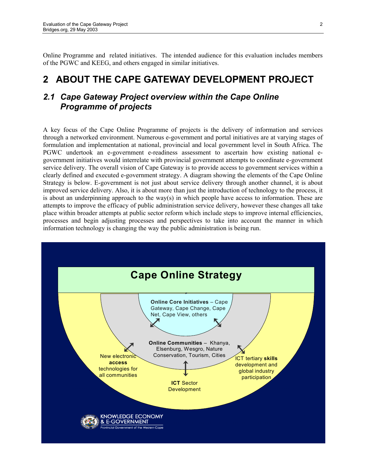Online Programme and related initiatives. The intended audience for this evaluation includes members of the PGWC and KEEG, and others engaged in similar initiatives.

# **2 ABOUT THE CAPE GATEWAY DEVELOPMENT PROJECT**

#### *2.1 Cape Gateway Project overview within the Cape Online Programme of projects*

A key focus of the Cape Online Programme of projects is the delivery of information and services through a networked environment. Numerous e-government and portal initiatives are at varying stages of formulation and implementation at national, provincial and local government level in South Africa. The PGWC undertook an e-government e-readiness assessment to ascertain how existing national egovernment initiatives would interrelate with provincial government attempts to coordinate e-government service delivery. The overall vision of Cape Gateway is to provide access to government services within a clearly defined and executed e-government strategy. A diagram showing the elements of the Cape Online Strategy is below. E-government is not just about service delivery through another channel, it is about improved service delivery. Also, it is about more than just the introduction of technology to the process, it is about an underpinning approach to the way(s) in which people have access to information. These are attempts to improve the efficacy of public administration service delivery, however these changes all take place within broader attempts at public sector reform which include steps to improve internal efficiencies, processes and begin adjusting processes and perspectives to take into account the manner in which information technology is changing the way the public administration is being run.

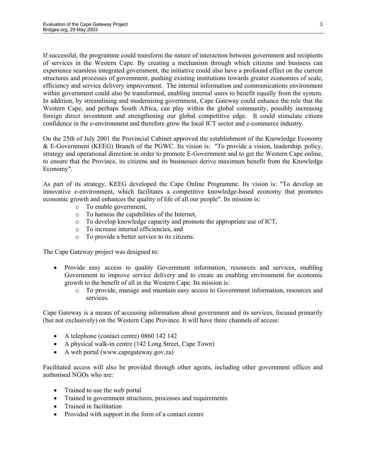If successful, the programme could transform the nature of interaction between government and recipients of services in the Western Cape. By creating a mechanism through which citizens and business can experience seamless integrated government, the initiative could also have a profound effect on the current structures and processes of government, pushing existing institutions towards greater economies of scale, efficiency and service delivery improvement. The internal information and communications environment within government could also be transformed, enabling internal users to benefit equally from the system. In addition, by streamlining and modernising government, Cape Gateway could enhance the role that the Western Cape, and perhaps South Africa, can play within the global community, possibly increasing foreign direct investment and strengthening our global competitive edge. It could stimulate citizen confidence in the e-environment and therefore grow the local ICT sector and e-commerce industry.

On the 25th of July 2001 the Provincial Cabinet approved the establishment of the Knowledge Economy & E-Government (KEEG) Branch of the PGWC. Its vision is: "To provide a vision, leadership, policy, strategy and operational direction in order to promote E-Government and to get the Western Cape online, to ensure that the Province, its citizens and its businesses derive maximum benefit from the Knowledge Economy".

As part of its strategy, KEEG developed the Cape Online Programme. Its vision is: "To develop an innovative e-environment, which facilitates a competitive knowledge-based economy that promotes economic growth and enhances the quality of life of all our people". Its mission is:

- o To enable government,
- o To harness the capabilities of the Internet,
- o To develop knowledge capacity and promote the appropriate use of ICT,
- o To increase internal efficiencies, and
- o To provide a better service to its citizens.

The Cape Gateway project was designed to:

- Provide easy access to quality Government information, resources and services, enabling Government to improve service delivery and to create an enabling environment for economic growth to the benefit of all in the Western Cape. Its mission is:
	- o To provide, manage and maintain easy access to Government information, resources and services.

Cape Gateway is a means of accessing information about government and its services, focused primarily (but not exclusively) on the Western Cape Province. It will have three channels of access:

- A telephone (contact centre) 0860 142 142
- A physical walk-in centre (142 Long Street, Cape Town)
- A web portal (www.capegateway.gov.za)

Facilitated access will also be provided through other agents, including other government offices and authorised NGOs who are:

- Trained to use the web portal
- Trained in government structures, processes and requirements
- Trained in facilitation
- Provided with support in the form of a contact centre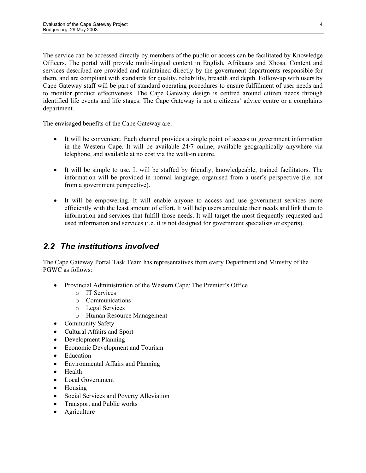The service can be accessed directly by members of the public or access can be facilitated by Knowledge Officers. The portal will provide multi-lingual content in English, Afrikaans and Xhosa. Content and services described are provided and maintained directly by the government departments responsible for them, and are compliant with standards for quality, reliability, breadth and depth. Follow-up with users by Cape Gateway staff will be part of standard operating procedures to ensure fulfillment of user needs and to monitor product effectiveness. The Cape Gateway design is centred around citizen needs through identified life events and life stages. The Cape Gateway is not a citizens' advice centre or a complaints department.

The envisaged benefits of the Cape Gateway are:

- It will be convenient. Each channel provides a single point of access to government information in the Western Cape. It will be available 24/7 online, available geographically anywhere via telephone, and available at no cost via the walk-in centre.
- It will be simple to use. It will be staffed by friendly, knowledgeable, trained facilitators. The information will be provided in normal language, organised from a user's perspective (i.e. not from a government perspective).
- It will be empowering. It will enable anyone to access and use government services more efficiently with the least amount of effort. It will help users articulate their needs and link them to information and services that fulfill those needs. It will target the most frequently requested and used information and services (i.e. it is not designed for government specialists or experts).

## *2.2 The institutions involved*

The Cape Gateway Portal Task Team has representatives from every Department and Ministry of the PGWC as follows:

- Provincial Administration of the Western Cape/ The Premier's Office
	- o IT Services
	- o Communications
	- o Legal Services
	- o Human Resource Management
- Community Safety
- Cultural Affairs and Sport
- Development Planning
- Economic Development and Tourism
- Education
- Environmental Affairs and Planning
- Health
- Local Government
- Housing
- Social Services and Poverty Alleviation
- Transport and Public works
- Agriculture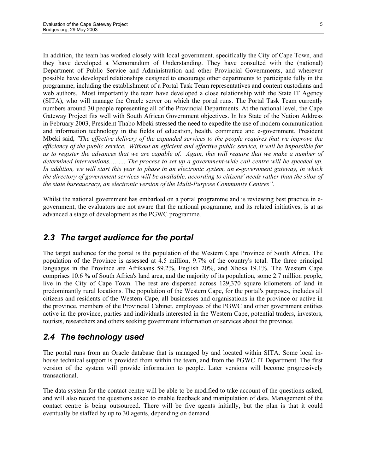In addition, the team has worked closely with local government, specifically the City of Cape Town, and they have developed a Memorandum of Understanding. They have consulted with the (national) Department of Public Service and Administration and other Provincial Governments, and wherever possible have developed relationships designed to encourage other departments to participate fully in the programme, including the establishment of a Portal Task Team representatives and content custodians and web authors. Most importantly the team have developed a close relationship with the State IT Agency (SITA), who will manage the Oracle server on which the portal runs. The Portal Task Team currently numbers around 30 people representing all of the Provincial Departments. At the national level, the Cape Gateway Project fits well with South African Government objectives. In his State of the Nation Address in February 2003, President Thabo Mbeki stressed the need to expedite the use of modern communication and information technology in the fields of education, health, commerce and e-government. President Mbeki said, *"The effective delivery of the expanded services to the people requires that we improve the efficiency of the public service. Without an efficient and effective public service, it will be impossible for us to register the advances that we are capable of. Again, this will require that we make a number of determined interventions..……. The process to set up a government-wide call centre will be speeded up. In addition, we will start this year to phase in an electronic system, an e-government gateway, in which the directory of government services will be available, according to citizens' needs rather than the silos of the state bureaucracy, an electronic version of the Multi-Purpose Community Centres".* 

Whilst the national government has embarked on a portal programme and is reviewing best practice in egovernment, the evaluators are not aware that the national programme, and its related initiatives, is at as advanced a stage of development as the PGWC programme.

#### *2.3 The target audience for the portal*

The target audience for the portal is the population of the Western Cape Province of South Africa. The population of the Province is assessed at 4.5 million, 9.7% of the country's total. The three principal languages in the Province are Afrikaans 59.2%, English 20%, and Xhosa 19.1%. The Western Cape comprises 10.6 % of South Africa's land area, and the majority of its population, some 2.7 million people, live in the City of Cape Town. The rest are dispersed across 129,370 square kilometers of land in predominantly rural locations. The population of the Western Cape, for the portal's purposes, includes all citizens and residents of the Western Cape, all businesses and organisations in the province or active in the province, members of the Provincial Cabinet, employees of the PGWC and other government entities active in the province, parties and individuals interested in the Western Cape, potential traders, investors, tourists, researchers and others seeking government information or services about the province.

### *2.4 The technology used*

The portal runs from an Oracle database that is managed by and located within SITA. Some local inhouse technical support is provided from within the team, and from the PGWC IT Department. The first version of the system will provide information to people. Later versions will become progressively transactional.

The data system for the contact centre will be able to be modified to take account of the questions asked, and will also record the questions asked to enable feedback and manipulation of data. Management of the contact centre is being outsourced. There will be five agents initially, but the plan is that it could eventually be staffed by up to 30 agents, depending on demand.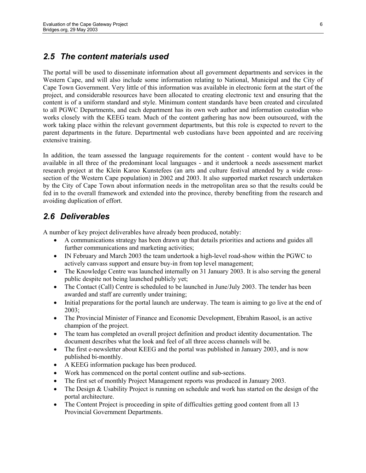### *2.5 The content materials used*

The portal will be used to disseminate information about all government departments and services in the Western Cape, and will also include some information relating to National, Municipal and the City of Cape Town Government. Very little of this information was available in electronic form at the start of the project, and considerable resources have been allocated to creating electronic text and ensuring that the content is of a uniform standard and style. Minimum content standards have been created and circulated to all PGWC Departments, and each department has its own web author and information custodian who works closely with the KEEG team. Much of the content gathering has now been outsourced, with the work taking place within the relevant government departments, but this role is expected to revert to the parent departments in the future. Departmental web custodians have been appointed and are receiving extensive training.

In addition, the team assessed the language requirements for the content - content would have to be available in all three of the predominant local languages - and it undertook a needs assessment market research project at the Klein Karoo Kunstefees (an arts and culture festival attended by a wide crosssection of the Western Cape population) in 2002 and 2003. It also supported market research undertaken by the City of Cape Town about information needs in the metropolitan area so that the results could be fed in to the overall framework and extended into the province, thereby benefiting from the research and avoiding duplication of effort.

#### *2.6 Deliverables*

A number of key project deliverables have already been produced, notably:

- A communications strategy has been drawn up that details priorities and actions and guides all further communications and marketing activities;
- IN February and March 2003 the team undertook a high-level road-show within the PGWC to actively canvass support and ensure buy-in from top level management;
- The Knowledge Centre was launched internally on 31 January 2003. It is also serving the general public despite not being launched publicly yet;
- The Contact (Call) Centre is scheduled to be launched in June/July 2003. The tender has been awarded and staff are currently under training;
- Initial preparations for the portal launch are underway. The team is aiming to go live at the end of 2003;
- The Provincial Minister of Finance and Economic Development, Ebrahim Rasool, is an active champion of the project.
- The team has completed an overall project definition and product identity documentation. The document describes what the look and feel of all three access channels will be.
- The first e-newsletter about KEEG and the portal was published in January 2003, and is now published bi-monthly.
- A KEEG information package has been produced.
- Work has commenced on the portal content outline and sub-sections.
- The first set of monthly Project Management reports was produced in January 2003.
- The Design & Usability Project is running on schedule and work has started on the design of the portal architecture.
- The Content Project is proceeding in spite of difficulties getting good content from all 13 Provincial Government Departments.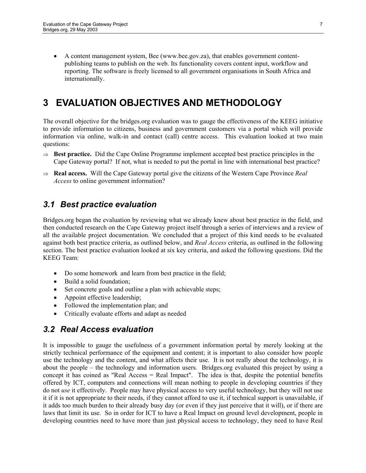• A content management system, Bee (www.bee.gov.za), that enables government contentpublishing teams to publish on the web. Its functionality covers content input, workflow and reporting. The software is freely licensed to all government organisations in South Africa and internationally.

# **3 EVALUATION OBJECTIVES AND METHODOLOGY**

The overall objective for the bridges.org evaluation was to gauge the effectiveness of the KEEG initiative to provide information to citizens, business and government customers via a portal which will provide information via online, walk-in and contact (call) centre access. This evaluation looked at two main questions:

- ⇒ **Best practice.** Did the Cape Online Programme implement accepted best practice principles in the Cape Gateway portal? If not, what is needed to put the portal in line with international best practice?
- ⇒ **Real access.** Will the Cape Gateway portal give the citizens of the Western Cape Province *Real Access* to online government information?

## *3.1 Best practice evaluation*

Bridges.org began the evaluation by reviewing what we already knew about best practice in the field, and then conducted research on the Cape Gateway project itself through a series of interviews and a review of all the available project documentation. We concluded that a project of this kind needs to be evaluated against both best practice criteria, as outlined below, and *Real Access* criteria, as outlined in the following section. The best practice evaluation looked at six key criteria, and asked the following questions. Did the KEEG Team:

- Do some homework and learn from best practice in the field;
- Build a solid foundation;
- Set concrete goals and outline a plan with achievable steps;
- Appoint effective leadership;
- Followed the implementation plan; and
- Critically evaluate efforts and adapt as needed

### *3.2 Real Access evaluation*

It is impossible to gauge the usefulness of a government information portal by merely looking at the strictly technical performance of the equipment and content; it is important to also consider how people use the technology and the content, and what affects their use. It is not really about the technology, it is about the people – the technology and information users. Bridges.org evaluated this project by using a concept it has coined as "Real Access = Real Impact". The idea is that, despite the potential benefits offered by ICT, computers and connections will mean nothing to people in developing countries if they do not *use* it effectively. People may have physical access to very useful technology, but they will not use it if it is not appropriate to their needs, if they cannot afford to use it, if technical support is unavailable, if it adds too much burden to their already busy day (or even if they just perceive that it will), or if there are laws that limit its use. So in order for ICT to have a Real Impact on ground level development, people in developing countries need to have more than just physical access to technology, they need to have Real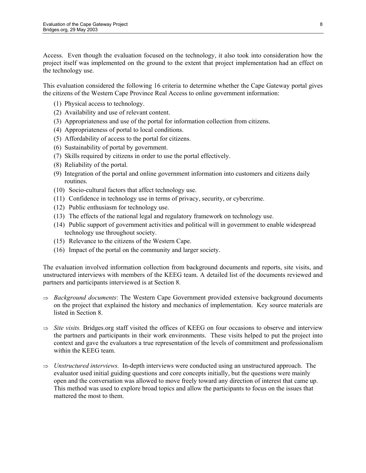Access. Even though the evaluation focused on the technology, it also took into consideration how the project itself was implemented on the ground to the extent that project implementation had an effect on the technology use.

This evaluation considered the following 16 criteria to determine whether the Cape Gateway portal gives the citizens of the Western Cape Province Real Access to online government information:

- (1) Physical access to technology.
- (2) Availability and use of relevant content.
- (3) Appropriateness and use of the portal for information collection from citizens.
- (4) Appropriateness of portal to local conditions.
- (5) Affordability of access to the portal for citizens.
- (6) Sustainability of portal by government.
- (7) Skills required by citizens in order to use the portal effectively.
- (8) Reliability of the portal.
- (9) Integration of the portal and online government information into customers and citizens daily routines.
- (10) Socio-cultural factors that affect technology use.
- (11) Confidence in technology use in terms of privacy, security, or cybercrime.
- (12) Public enthusiasm for technology use.
- (13) The effects of the national legal and regulatory framework on technology use.
- (14) Public support of government activities and political will in government to enable widespread technology use throughout society.
- (15) Relevance to the citizens of the Western Cape.
- (16) Impact of the portal on the community and larger society.

The evaluation involved information collection from background documents and reports, site visits, and unstructured interviews with members of the KEEG team. A detailed list of the documents reviewed and partners and participants interviewed is at Section 8.

- ⇒ *Background documents*: The Western Cape Government provided extensive background documents on the project that explained the history and mechanics of implementation. Key source materials are listed in Section 8.
- ⇒ *Site visits.* Bridges.org staff visited the offices of KEEG on four occasions to observe and interview the partners and participants in their work environments. These visits helped to put the project into context and gave the evaluators a true representation of the levels of commitment and professionalism within the KEEG team.
- ⇒ *Unstructured interviews.* In-depth interviews were conducted using an unstructured approach. The evaluator used initial guiding questions and core concepts initially, but the questions were mainly open and the conversation was allowed to move freely toward any direction of interest that came up. This method was used to explore broad topics and allow the participants to focus on the issues that mattered the most to them.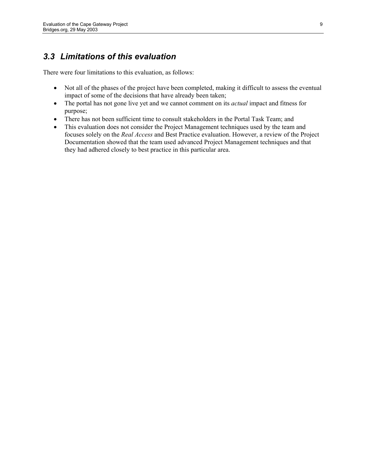## *3.3 Limitations of this evaluation*

There were four limitations to this evaluation, as follows:

- Not all of the phases of the project have been completed, making it difficult to assess the eventual impact of some of the decisions that have already been taken;
- The portal has not gone live yet and we cannot comment on its *actual* impact and fitness for purpose;
- There has not been sufficient time to consult stakeholders in the Portal Task Team; and
- This evaluation does not consider the Project Management techniques used by the team and focuses solely on the *Real Access* and Best Practice evaluation. However, a review of the Project Documentation showed that the team used advanced Project Management techniques and that they had adhered closely to best practice in this particular area.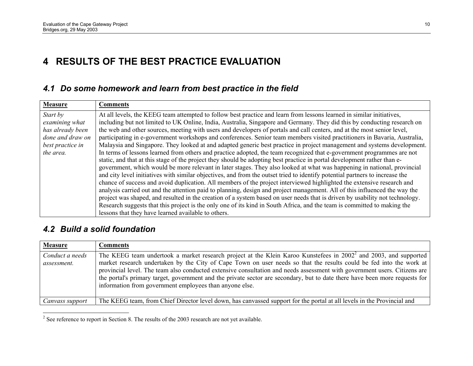# **4 RESULTS OF THE BEST PRACTICE EVALUATION**

## *4.1 Do some homework and learn from best practice in the field*

| <b>Measure</b>   | <b>Comments</b>                                                                                                              |
|------------------|------------------------------------------------------------------------------------------------------------------------------|
| Start by         | At all levels, the KEEG team attempted to follow best practice and learn from lessons learned in similar initiatives,        |
| examining what   | including but not limited to UK Online, India, Australia, Singapore and Germany. They did this by conducting research on     |
| has already been | the web and other sources, meeting with users and developers of portals and call centers, and at the most senior level,      |
| done and draw on | participating in e-government workshops and conferences. Senior team members visited practitioners in Bavaria, Australia,    |
| best practice in | Malaysia and Singapore. They looked at and adapted generic best practice in project management and systems development.      |
| the area.        | In terms of lessons learned from others and practice adopted, the team recognized that e-government programmes are not       |
|                  | static, and that at this stage of the project they should be adopting best practice in portal development rather than e-     |
|                  | government, which would be more relevant in later stages. They also looked at what was happening in national, provincial     |
|                  | and city level initiatives with similar objectives, and from the outset tried to identify potential partners to increase the |
|                  | chance of success and avoid duplication. All members of the project interviewed highlighted the extensive research and       |
|                  | analysis carried out and the attention paid to planning, design and project management. All of this influenced the way the   |
|                  | project was shaped, and resulted in the creation of a system based on user needs that is driven by usability not technology. |
|                  | Research suggests that this project is the only one of its kind in South Africa, and the team is committed to making the     |
|                  | lessons that they have learned available to others.                                                                          |

### *4.2 Build a solid foundation*

| <b>Measure</b>                 | <b>Comments</b>                                                                                                                                                                                                                                                                                                                                                                                                                                                                                                                                                            |
|--------------------------------|----------------------------------------------------------------------------------------------------------------------------------------------------------------------------------------------------------------------------------------------------------------------------------------------------------------------------------------------------------------------------------------------------------------------------------------------------------------------------------------------------------------------------------------------------------------------------|
| Conduct a needs<br>assessment. | The KEEG team undertook a market research project at the Klein Karoo Kunstefees in 2002 <sup>2</sup> and 2003, and supported<br>market research undertaken by the City of Cape Town on user needs so that the results could be fed into the work at<br>provincial level. The team also conducted extensive consultation and needs assessment with government users. Citizens are<br>the portal's primary target, government and the private sector are secondary, but to date there have been more requests for<br>information from government employees than anyone else. |
| Canvass support                | The KEEG team, from Chief Director level down, has canvassed support for the portal at all levels in the Provincial and                                                                                                                                                                                                                                                                                                                                                                                                                                                    |

<sup>&</sup>lt;sup>2</sup> See reference to report in Section 8. The results of the 2003 research are not yet available.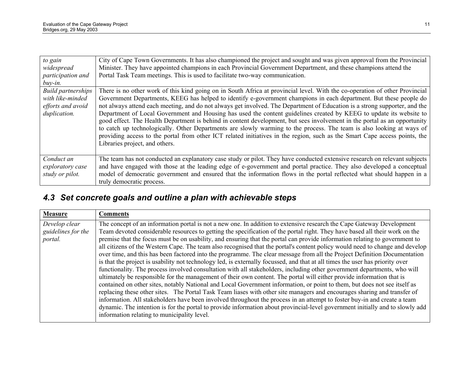| to gain<br>widespread<br>participation and<br>$buy-in.$                            | City of Cape Town Governments. It has also championed the project and sought and was given approval from the Provincial<br>Minister. They have appointed champions in each Provincial Government Department, and these champions attend the<br>Portal Task Team meetings. This is used to facilitate two-way communication.                                                                                                                                                                                                                                                                                                                                                                                                                                                                                                                                                                                                  |
|------------------------------------------------------------------------------------|------------------------------------------------------------------------------------------------------------------------------------------------------------------------------------------------------------------------------------------------------------------------------------------------------------------------------------------------------------------------------------------------------------------------------------------------------------------------------------------------------------------------------------------------------------------------------------------------------------------------------------------------------------------------------------------------------------------------------------------------------------------------------------------------------------------------------------------------------------------------------------------------------------------------------|
| <b>Build partnerships</b><br>with like-minded<br>efforts and avoid<br>duplication. | There is no other work of this kind going on in South Africa at provincial level. With the co-operation of other Provincial<br>Government Departments, KEEG has helped to identify e-government champions in each department. But these people do<br>not always attend each meeting, and do not always get involved. The Department of Education is a strong supporter, and the<br>Department of Local Government and Housing has used the content guidelines created by KEEG to update its website to<br>good effect. The Health Department is behind in content development, but sees involvement in the portal as an opportunity<br>to catch up technologically. Other Departments are slowly warming to the process. The team is also looking at ways of<br>providing access to the portal from other ICT related initiatives in the region, such as the Smart Cape access points, the<br>Libraries project, and others. |
| Conduct an<br>exploratory case<br>study or pilot.                                  | The team has not conducted an explanatory case study or pilot. They have conducted extensive research on relevant subjects<br>and have engaged with those at the leading edge of e-government and portal practice. They also developed a conceptual<br>model of democratic government and ensured that the information flows in the portal reflected what should happen in a<br>truly democratic process.                                                                                                                                                                                                                                                                                                                                                                                                                                                                                                                    |

# *4.3 Set concrete goals and outline a plan with achievable steps*

| <b>Measure</b>                                 | <b>Comments</b>                                                                                                                                                                                                                                                                                                                                                                                                                                                                                                                                                                                                                                                                                                                                                                                                                                                                                               |
|------------------------------------------------|---------------------------------------------------------------------------------------------------------------------------------------------------------------------------------------------------------------------------------------------------------------------------------------------------------------------------------------------------------------------------------------------------------------------------------------------------------------------------------------------------------------------------------------------------------------------------------------------------------------------------------------------------------------------------------------------------------------------------------------------------------------------------------------------------------------------------------------------------------------------------------------------------------------|
| Develop clear<br>guidelines for the<br>portal. | The concept of an information portal is not a new one. In addition to extensive research the Cape Gateway Development<br>Team devoted considerable resources to getting the specification of the portal right. They have based all their work on the<br>premise that the focus must be on usability, and ensuring that the portal can provide information relating to government to<br>all citizens of the Western Cape. The team also recognised that the portal's content policy would need to change and develop<br>over time, and this has been factored into the programme. The clear message from all the Project Definition Documentation<br>is that the project is usability not technology led, is externally focussed, and that at all times the user has priority over<br>functionality. The process involved consultation with all stakeholders, including other government departments, who will |
|                                                | ultimately be responsible for the management of their own content. The portal will either provide information that is<br>contained on other sites, notably National and Local Government information, or point to them, but does not see itself as<br>replacing these other sites. The Portal Task Team liases with other site managers and encourages sharing and transfer of<br>information. All stakeholders have been involved throughout the process in an attempt to foster buy-in and create a team<br>dynamic. The intention is for the portal to provide information about provincial-level government initially and to slowly add<br>information relating to municipality level.                                                                                                                                                                                                                    |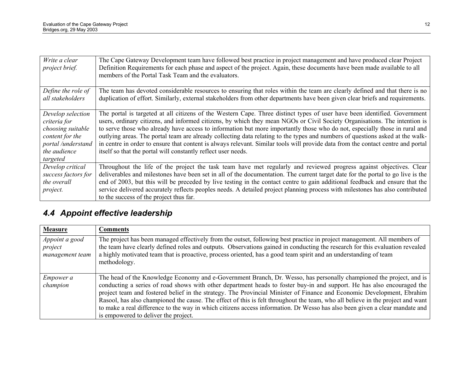| Write a clear<br>project brief.                                                                                             | The Cape Gateway Development team have followed best practice in project management and have produced clear Project<br>Definition Requirements for each phase and aspect of the project. Again, these documents have been made available to all<br>members of the Portal Task Team and the evaluators.                                                                                                                                                                                                                                                                                                                                                                                                                     |
|-----------------------------------------------------------------------------------------------------------------------------|----------------------------------------------------------------------------------------------------------------------------------------------------------------------------------------------------------------------------------------------------------------------------------------------------------------------------------------------------------------------------------------------------------------------------------------------------------------------------------------------------------------------------------------------------------------------------------------------------------------------------------------------------------------------------------------------------------------------------|
| Define the role of<br>all stakeholders                                                                                      | The team has devoted considerable resources to ensuring that roles within the team are clearly defined and that there is no<br>duplication of effort. Similarly, external stakeholders from other departments have been given clear briefs and requirements.                                                                                                                                                                                                                                                                                                                                                                                                                                                               |
| Develop selection<br>criteria for<br>choosing suitable<br>content for the<br>portal /understand<br>the audience<br>targeted | The portal is targeted at all citizens of the Western Cape. Three distinct types of user have been identified. Government<br>users, ordinary citizens, and informed citizens, by which they mean NGOs or Civil Society Organisations. The intention is<br>to serve those who already have access to information but more importantly those who do not, especially those in rural and<br>outlying areas. The portal team are already collecting data relating to the types and numbers of questions asked at the walk-<br>in centre in order to ensure that content is always relevant. Similar tools will provide data from the contact centre and portal<br>itself so that the portal will constantly reflect user needs. |
| Develop critical<br>success factors for<br>the overall<br>project.                                                          | Throughout the life of the project the task team have met regularly and reviewed progress against objectives. Clear<br>deliverables and milestones have been set in all of the documentation. The current target date for the portal to go live is the<br>end of 2003, but this will be preceded by live testing in the contact centre to gain additional feedback and ensure that the<br>service delivered accurately reflects peoples needs. A detailed project planning process with milestones has also contributed<br>to the success of the project thus far.                                                                                                                                                         |

# *4.4 Appoint effective leadership*

| <b>Measure</b>                               | <b>Comments</b>                                                                                                                                                                                                                                                                                                                                                                             |
|----------------------------------------------|---------------------------------------------------------------------------------------------------------------------------------------------------------------------------------------------------------------------------------------------------------------------------------------------------------------------------------------------------------------------------------------------|
| Appoint a good<br>project<br>management team | The project has been managed effectively from the outset, following best practice in project management. All members of<br>the team have clearly defined roles and outputs. Observations gained in conducting the research for this evaluation revealed<br>a highly motivated team that is proactive, process oriented, has a good team spirit and an understanding of team<br>methodology. |
|                                              |                                                                                                                                                                                                                                                                                                                                                                                             |
| <i>Empower a</i>                             | The head of the Knowledge Economy and e-Government Branch, Dr. Wesso, has personally championed the project, and is                                                                                                                                                                                                                                                                         |
| champion                                     | conducting a series of road shows with other department heads to foster buy-in and support. He has also encouraged the                                                                                                                                                                                                                                                                      |
|                                              | project team and fostered belief in the strategy. The Provincial Minister of Finance and Economic Development, Ebrahim                                                                                                                                                                                                                                                                      |
|                                              | Rasool, has also championed the cause. The effect of this is felt throughout the team, who all believe in the project and want<br>to make a real difference to the way in which citizens access information. Dr Wesso has also been given a clear mandate and                                                                                                                               |
|                                              | is empowered to deliver the project.                                                                                                                                                                                                                                                                                                                                                        |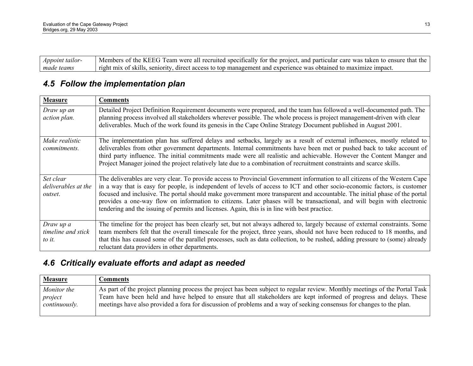| Appoint tailor- | Members of the KEEG Team were all recruited specifically for the project, and particular care was taken to ensure that the |
|-----------------|----------------------------------------------------------------------------------------------------------------------------|
| made teams      | right mix of skills, seniority, direct access to top management and experience was obtained to maximize impact.            |

# *4.5 Follow the implementation plan*

| <b>Measure</b>                              | <b>Comments</b>                                                                                                                                                                                                                                                                                                                                                                                                                                                                                                                                                                                                   |
|---------------------------------------------|-------------------------------------------------------------------------------------------------------------------------------------------------------------------------------------------------------------------------------------------------------------------------------------------------------------------------------------------------------------------------------------------------------------------------------------------------------------------------------------------------------------------------------------------------------------------------------------------------------------------|
| Draw up an<br>action plan.                  | Detailed Project Definition Requirement documents were prepared, and the team has followed a well-documented path. The<br>planning process involved all stakeholders wherever possible. The whole process is project management-driven with clear<br>deliverables. Much of the work found its genesis in the Cape Online Strategy Document published in August 2001.                                                                                                                                                                                                                                              |
| Make realistic<br><i>commitments.</i>       | The implementation plan has suffered delays and setbacks, largely as a result of external influences, mostly related to<br>deliverables from other government departments. Internal commitments have been met or pushed back to take account of<br>third party influence. The initial commitments made were all realistic and achievable. However the Content Manger and<br>Project Manager joined the project relatively late due to a combination of recruitment constraints and scarce skills.                                                                                                                 |
| Set clear<br>deliverables at the<br>outset. | The deliverables are very clear. To provide access to Provincial Government information to all citizens of the Western Cape<br>in a way that is easy for people, is independent of levels of access to ICT and other socio-economic factors, is customer<br>focused and inclusive. The portal should make government more transparent and accountable. The initial phase of the portal<br>provides a one-way flow on information to citizens. Later phases will be transactional, and will begin with electronic<br>tendering and the issuing of permits and licenses. Again, this is in line with best practice. |
| Draw up a<br>timeline and stick<br>to it.   | The timeline for the project has been clearly set, but not always adhered to, largely because of external constraints. Some<br>team members felt that the overall timescale for the project, three years, should not have been reduced to 18 months, and<br>that this has caused some of the parallel processes, such as data collection, to be rushed, adding pressure to (some) already<br>reluctant data providers in other departments.                                                                                                                                                                       |

# *4.6 Critically evaluate efforts and adapt as needed*

| <b>Measure</b> | Comments                                                                                                                    |
|----------------|-----------------------------------------------------------------------------------------------------------------------------|
| Monitor the    | As part of the project planning process the project has been subject to regular review. Monthly meetings of the Portal Task |
| project        | Team have been held and have helped to ensure that all stakeholders are kept informed of progress and delays. These         |
| continuously.  | meetings have also provided a fora for discussion of problems and a way of seeking consensus for changes to the plan.       |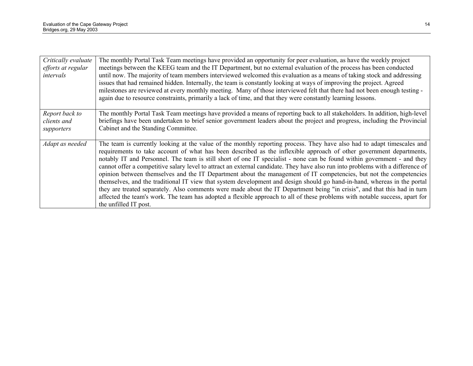| Critically evaluate<br>efforts at regular<br>intervals | The monthly Portal Task Team meetings have provided an opportunity for peer evaluation, as have the weekly project<br>meetings between the KEEG team and the IT Department, but no external evaluation of the process has been conducted<br>until now. The majority of team members interviewed welcomed this evaluation as a means of taking stock and addressing<br>issues that had remained hidden. Internally, the team is constantly looking at ways of improving the project. Agreed<br>milestones are reviewed at every monthly meeting. Many of those interviewed felt that there had not been enough testing -<br>again due to resource constraints, primarily a lack of time, and that they were constantly learning lessons.                                                                                                                                                                                                                                                                                                             |
|--------------------------------------------------------|-----------------------------------------------------------------------------------------------------------------------------------------------------------------------------------------------------------------------------------------------------------------------------------------------------------------------------------------------------------------------------------------------------------------------------------------------------------------------------------------------------------------------------------------------------------------------------------------------------------------------------------------------------------------------------------------------------------------------------------------------------------------------------------------------------------------------------------------------------------------------------------------------------------------------------------------------------------------------------------------------------------------------------------------------------|
| Report back to<br>clients and<br>supporters            | The monthly Portal Task Team meetings have provided a means of reporting back to all stakeholders. In addition, high-level<br>briefings have been undertaken to brief senior government leaders about the project and progress, including the Provincial<br>Cabinet and the Standing Committee.                                                                                                                                                                                                                                                                                                                                                                                                                                                                                                                                                                                                                                                                                                                                                     |
| Adapt as needed                                        | The team is currently looking at the value of the monthly reporting process. They have also had to adapt timescales and<br>requirements to take account of what has been described as the inflexible approach of other government departments,<br>notably IT and Personnel. The team is still short of one IT specialist - none can be found within government - and they<br>cannot offer a competitive salary level to attract an external candidate. They have also run into problems with a difference of<br>opinion between themselves and the IT Department about the management of IT competencies, but not the competencies<br>themselves, and the traditional IT view that system development and design should go hand-in-hand, whereas in the portal<br>they are treated separately. Also comments were made about the IT Department being "in crisis", and that this had in turn<br>affected the team's work. The team has adopted a flexible approach to all of these problems with notable success, apart for<br>the unfilled IT post. |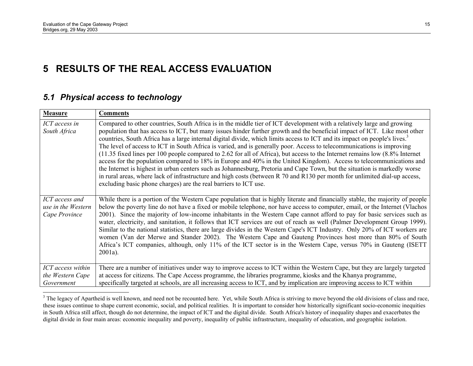# **5 RESULTS OF THE REAL ACCESS EVALUATION**

#### *5.1 Physical access to technology*

| <b>Measure</b>                                        | <b>Comments</b>                                                                                                                                                                                                                                                                                                                                                                                                                                                                                                                                                                                                                                                                                                                                                                                                                                                                                                                                                                                                                                                                                                  |
|-------------------------------------------------------|------------------------------------------------------------------------------------------------------------------------------------------------------------------------------------------------------------------------------------------------------------------------------------------------------------------------------------------------------------------------------------------------------------------------------------------------------------------------------------------------------------------------------------------------------------------------------------------------------------------------------------------------------------------------------------------------------------------------------------------------------------------------------------------------------------------------------------------------------------------------------------------------------------------------------------------------------------------------------------------------------------------------------------------------------------------------------------------------------------------|
| ICT access in<br>South Africa                         | Compared to other countries, South Africa is in the middle tier of ICT development with a relatively large and growing<br>population that has access to ICT, but many issues hinder further growth and the beneficial impact of ICT. Like most other<br>countries, South Africa has a large internal digital divide, which limits access to ICT and its impact on people's lives. <sup>3</sup><br>The level of access to ICT in South Africa is varied, and is generally poor. Access to telecommunications is improving<br>(11.35 fixed lines per 100 people compared to 2.62 for all of Africa), but access to the Internet remains low (8.8% Internet<br>access for the population compared to 18% in Europe and 40% in the United Kingdom). Access to telecommunications and<br>the Internet is highest in urban centers such as Johannesburg, Pretoria and Cape Town, but the situation is markedly worse<br>in rural areas, where lack of infrastructure and high costs (between R 70 and R130 per month for unlimited dial-up access,<br>excluding basic phone charges) are the real barriers to ICT use. |
| ICT access and<br>use in the Western<br>Cape Province | While there is a portion of the Western Cape population that is highly literate and financially stable, the majority of people<br>below the poverty line do not have a fixed or mobile telephone, nor have access to computer, email, or the Internet (Vlachos<br>2001). Since the majority of low-income inhabitants in the Western Cape cannot afford to pay for basic services such as<br>water, electricity, and sanitation, it follows that ICT services are out of reach as well (Palmer Development Group 1999).<br>Similar to the national statistics, there are large divides in the Western Cape's ICT Industry. Only 20% of ICT workers are<br>women (Van der Merwe and Stander 2002). The Western Cape and Gauteng Provinces host more than 80% of South<br>Africa's ICT companies, although, only 11% of the ICT sector is in the Western Cape, versus 70% in Gauteng (ISETT<br>$2001a$ ).                                                                                                                                                                                                          |
| ICT access within<br>the Western Cape<br>Government   | There are a number of initiatives under way to improve access to ICT within the Western Cape, but they are largely targeted<br>at access for citizens. The Cape Access programme, the libraries programme, kiosks and the Khanya programme,<br>specifically targeted at schools, are all increasing access to ICT, and by implication are improving access to ICT within                                                                                                                                                                                                                                                                                                                                                                                                                                                                                                                                                                                                                                                                                                                                         |

<sup>&</sup>lt;sup>3</sup> The legacy of Apartheid is well known, and need not be recounted here. Yet, while South Africa is striving to move beyond the old divisions of class and race, these issues continue to shape current economic, social, and political realities. It is important to consider how historically significant socio-economic inequities in South Africa still affect, though do not determine, the impact of ICT and the digital divide. South Africa's history of inequality shapes and exacerbates the digital divide in four main areas: economic inequality and poverty, inequality of public infrastructure, inequality of education, and geographic isolation.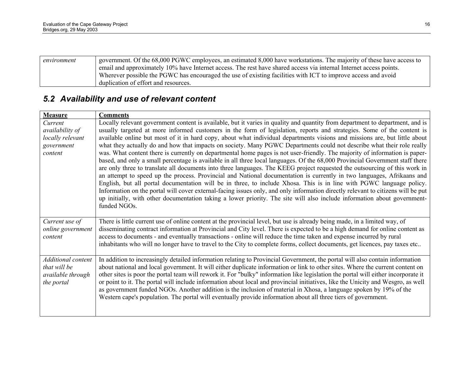| environment | government. Of the 68,000 PGWC employees, an estimated 8,000 have workstations. The majority of these have access to |
|-------------|----------------------------------------------------------------------------------------------------------------------|
|             | email and approximately 10% have Internet access. The rest have shared access via internal Internet access points.   |
|             | Wherever possible the PGWC has encouraged the use of existing facilities with ICT to improve access and avoid        |
|             | duplication of effort and resources.                                                                                 |

# *5.2 Availability and use of relevant content*

| <b>Measure</b>            | <b>Comments</b>                                                                                                                    |
|---------------------------|------------------------------------------------------------------------------------------------------------------------------------|
| Current                   | Locally relevant government content is available, but it varies in quality and quantity from department to department, and is      |
| availability of           | usually targeted at more informed customers in the form of legislation, reports and strategies. Some of the content is             |
| locally relevant          | available online but most of it in hard copy, about what individual departments visions and missions are, but little about         |
| government                | what they actually do and how that impacts on society. Many PGWC Departments could not describe what their role really             |
| content                   | was. What content there is currently on departmental home pages is not user-friendly. The majority of information is paper-        |
|                           | based, and only a small percentage is available in all three local languages. Of the 68,000 Provincial Government staff there      |
|                           | are only three to translate all documents into three languages. The KEEG project requested the outsourcing of this work in         |
|                           | an attempt to speed up the process. Provincial and National documentation is currently in two languages, Afrikaans and             |
|                           | English, but all portal documentation will be in three, to include Xhosa. This is in line with PGWC language policy.               |
|                           | Information on the portal will cover external-facing issues only, and only information directly relevant to citizens will be put   |
|                           | up initially, with other documentation taking a lower priority. The site will also include information about government-           |
|                           | funded NGOs.                                                                                                                       |
|                           |                                                                                                                                    |
| Current use of            | There is little current use of online content at the provincial level, but use is already being made, in a limited way, of         |
| online government         | disseminating contract information at Provincial and City level. There is expected to be a high demand for online content as       |
| content                   | access to documents - and eventually transactions - online will reduce the time taken and expense incurred by rural                |
|                           | inhabitants who will no longer have to travel to the City to complete forms, collect documents, get licences, pay taxes etc        |
|                           |                                                                                                                                    |
| <b>Additional</b> content | In addition to increasingly detailed information relating to Provincial Government, the portal will also contain information       |
| that will be              | about national and local government. It will either duplicate information or link to other sites. Where the current content on     |
| available through         | other sites is poor the portal team will rework it. For "bulky" information like legislation the portal will either incorporate it |
| the portal                | or point to it. The portal will include information about local and provincial initiatives, like the Unicity and Wesgro, as well   |
|                           | as government funded NGOs. Another addition is the inclusion of material in Xhosa, a language spoken by 19% of the                 |
|                           | Western cape's population. The portal will eventually provide information about all three tiers of government.                     |
|                           |                                                                                                                                    |
|                           |                                                                                                                                    |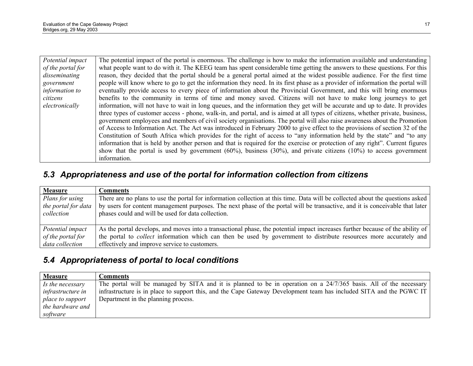| Potential impact  | The potential impact of the portal is enormous. The challenge is how to make the information available and understanding       |
|-------------------|--------------------------------------------------------------------------------------------------------------------------------|
| of the portal for | what people want to do with it. The KEEG team has spent considerable time getting the answers to these questions. For this     |
| disseminating     | reason, they decided that the portal should be a general portal aimed at the widest possible audience. For the first time      |
| government        | people will know where to go to get the information they need. In its first phase as a provider of information the portal will |
| information to    | eventually provide access to every piece of information about the Provincial Government, and this will bring enormous          |
| citizens          | benefits to the community in terms of time and money saved. Citizens will not have to make long journeys to get                |
| electronically    | information, will not have to wait in long queues, and the information they get will be accurate and up to date. It provides   |
|                   | three types of customer access - phone, walk-in, and portal, and is aimed at all types of citizens, whether private, business, |
|                   | government employees and members of civil society organisations. The portal will also raise awareness about the Promotion      |
|                   | of Access to Information Act. The Act was introduced in February 2000 to give effect to the provisions of section 32 of the    |
|                   | Constitution of South Africa which provides for the right of access to "any information held by the state" and "to any         |
|                   | information that is held by another person and that is required for the exercise or protection of any right". Current figures  |
|                   | show that the portal is used by government $(60\%)$ , business $(30\%)$ , and private citizens $(10\%)$ to access government   |
|                   | information.                                                                                                                   |

# *5.3 Appropriateness and use of the portal for information collection from citizens*

| <b>Measure</b>                                       | <b>Comments</b>                                                                                                                                                                                                                                                                                                      |
|------------------------------------------------------|----------------------------------------------------------------------------------------------------------------------------------------------------------------------------------------------------------------------------------------------------------------------------------------------------------------------|
| Plans for using<br>the portal for data<br>collection | There are no plans to use the portal for information collection at this time. Data will be collected about the questions asked<br>by users for content management purposes. The next phase of the portal will be transactive, and it is conceivable that later<br>phases could and will be used for data collection. |
| Potential impact                                     | As the portal develops, and moves into a transactional phase, the potential impact increases further because of the ability of                                                                                                                                                                                       |
| of the portal for                                    | the portal to <i>collect</i> information which can then be used by government to distribute resources more accurately and                                                                                                                                                                                            |
| data collection                                      | effectively and improve service to customers.                                                                                                                                                                                                                                                                        |

# *5.4 Appropriateness of portal to local conditions*

| <b>Measure</b>           | Comments                                                                                                            |
|--------------------------|---------------------------------------------------------------------------------------------------------------------|
| $\vert$ Is the necessary | The portal will be managed by SITA and it is planned to be in operation on a 24/7/365 basis. All of the necessary   |
| <i>infrastructure in</i> | infrastructure is in place to support this, and the Cape Gateway Development team has included SITA and the PGWC IT |
| place to support         | Department in the planning process.                                                                                 |
| the hardware and         |                                                                                                                     |
| software                 |                                                                                                                     |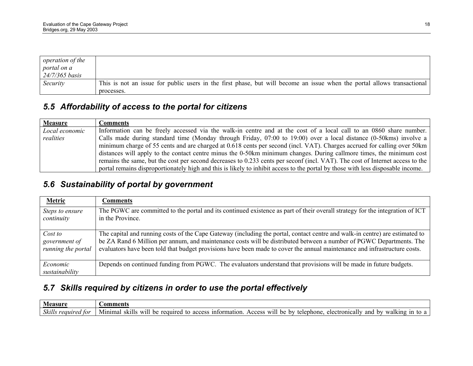| <i>operation of the</i> |                                                                                                                         |
|-------------------------|-------------------------------------------------------------------------------------------------------------------------|
| portal on a             |                                                                                                                         |
| $24/7/365$ basis        |                                                                                                                         |
| Security                | This is not an issue for public users in the first phase, but will become an issue when the portal allows transactional |
|                         | processes.                                                                                                              |

# *5.5 Affordability of access to the portal for citizens*

| <b>Measure</b> | <b>Comments</b>                                                                                                                 |
|----------------|---------------------------------------------------------------------------------------------------------------------------------|
| Local economic | Information can be freely accessed via the walk-in centre and at the cost of a local call to an 0860 share number.              |
| realities      | Calls made during standard time (Monday through Friday, 07:00 to 19:00) over a local distance (0-50kms) involve a               |
|                | minimum charge of 55 cents and are charged at 0.618 cents per second (incl. VAT). Charges accrued for calling over 50 km        |
|                | distances will apply to the contact centre minus the 0-50km minimum changes. During callmore times, the minimum cost            |
|                | remains the same, but the cost per second decreases to 0.233 cents per seconf (incl. VAT). The cost of Internet access to the   |
|                | portal remains disproportionately high and this is likely to inhibit access to the portal by those with less disposable income. |

# *5.6 Sustainability of portal by government*

| <b>Metric</b>                 | Comments                                                                                                                                          |
|-------------------------------|---------------------------------------------------------------------------------------------------------------------------------------------------|
| Steps to ensure<br>continuity | The PGWC are committed to the portal and its continued existence as part of their overall strategy for the integration of ICT<br>in the Province. |
|                               |                                                                                                                                                   |
| Cost to                       | The capital and running costs of the Cape Gateway (including the portal, contact centre and walk-in centre) are estimated to                      |
| government of                 | be ZA Rand 6 Million per annum, and maintenance costs will be distributed between a number of PGWC Departments. The                               |
| running the portal            | evaluators have been told that budget provisions have been made to cover the annual maintenance and infrastructure costs.                         |
| Economic                      | Depends on continued funding from PGWC. The evaluators understand that provisions will be made in future budgets.                                 |
| sustainability                |                                                                                                                                                   |

# *5.7 Skills required by citizens in order to use the portal effectively*

| 0.00111<br>аэин                      | nments                                                                                                                                                                                                                     |
|--------------------------------------|----------------------------------------------------------------------------------------------------------------------------------------------------------------------------------------------------------------------------|
| 01.11<br>tor<br>Skills<br>reautred , | $\cdots$<br><u>information</u><br>W1l<br>anc<br>Minima<br>1n<br>be<br>Access<br>onically<br>walking<br>be<br>C IZ 1<br>required<br>hv<br>telephone<br><b>XX71</b><br>electr<br>hv<br>1 H C<br>τc<br>access<br>τo<br>א<br>a |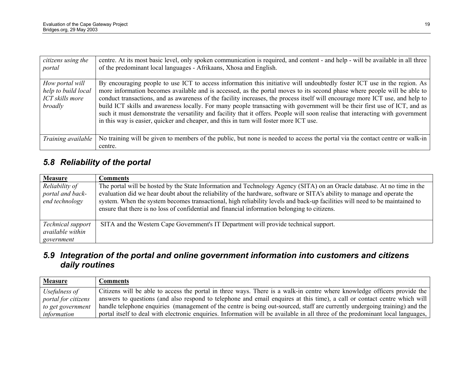| citizens using the<br>portal                                         | centre. At its most basic level, only spoken communication is required, and content - and help - will be available in all three<br>of the predominant local languages - Afrikaans, Xhosa and English.                                                                                                                                                                                                                                                                                                                                                                                                                                                                                                                                            |
|----------------------------------------------------------------------|--------------------------------------------------------------------------------------------------------------------------------------------------------------------------------------------------------------------------------------------------------------------------------------------------------------------------------------------------------------------------------------------------------------------------------------------------------------------------------------------------------------------------------------------------------------------------------------------------------------------------------------------------------------------------------------------------------------------------------------------------|
| How portal will<br>help to build local<br>ICT skills more<br>broadly | By encouraging people to use ICT to access information this initiative will undoubtedly foster ICT use in the region. As<br>more information becomes available and is accessed, as the portal moves to its second phase where people will be able to<br>conduct transactions, and as awareness of the facility increases, the process itself will encourage more ICT use, and help to<br>build ICT skills and awareness locally. For many people transacting with government will be their first use of ICT, and as<br>such it must demonstrate the versatility and facility that it offers. People will soon realise that interacting with government<br>in this way is easier, quicker and cheaper, and this in turn will foster more ICT use. |
| Training available                                                   | No training will be given to members of the public, but none is needed to access the portal via the contact centre or walk-in<br>centre.                                                                                                                                                                                                                                                                                                                                                                                                                                                                                                                                                                                                         |

# *5.8 Reliability of the portal*

| <b>Measure</b>                                       | <b>Comments</b>                                                                                                                                                                                                                                                                                                                                                                                                                                                                      |
|------------------------------------------------------|--------------------------------------------------------------------------------------------------------------------------------------------------------------------------------------------------------------------------------------------------------------------------------------------------------------------------------------------------------------------------------------------------------------------------------------------------------------------------------------|
| Reliability of<br>portal and back-<br>end technology | The portal will be hosted by the State Information and Technology Agency (SITA) on an Oracle database. At no time in the<br>evaluation did we hear doubt about the reliability of the hardware, software or SITA's ability to manage and operate the<br>system. When the system becomes transactional, high reliability levels and back-up facilities will need to be maintained to<br>ensure that there is no loss of confidential and financial information belonging to citizens. |
| Technical support<br>available within<br>government  | SITA and the Western Cape Government's IT Department will provide technical support.                                                                                                                                                                                                                                                                                                                                                                                                 |

## *5.9 Integration of the portal and online government information into customers and citizens daily routines*

| <b>Measure</b>      | Comments                                                                                                                        |
|---------------------|---------------------------------------------------------------------------------------------------------------------------------|
| Usefulness of       | Citizens will be able to access the portal in three ways. There is a walk-in centre where knowledge officers provide the        |
| portal for citizens | answers to questions (and also respond to telephone and email enquires at this time), a call or contact centre which will       |
| to get government   | handle telephone enquiries (management of the centre is being out-sourced, staff are currently undergoing training) and the     |
| information         | portal itself to deal with electronic enquiries. Information will be available in all three of the predominant local languages, |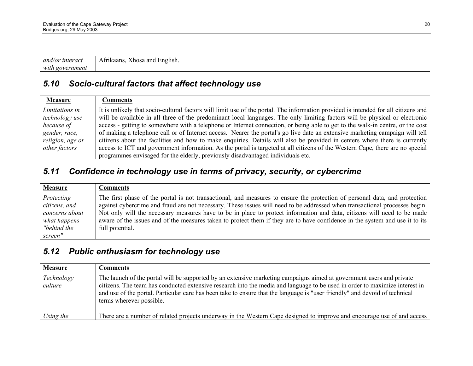| and/or<br>interaci          | $\sim$<br>ıkaans<br>. and<br>Xhosa<br>:nglish. |
|-----------------------------|------------------------------------------------|
| with<br>ernmen.<br>$\alpha$ |                                                |

## *5.10 Socio-cultural factors that affect technology use*

| <b>Measure</b>   | Comments                                                                                                                           |
|------------------|------------------------------------------------------------------------------------------------------------------------------------|
| Limitations in   | It is unlikely that socio-cultural factors will limit use of the portal. The information provided is intended for all citizens and |
| technology use   | will be available in all three of the predominant local languages. The only limiting factors will be physical or electronic        |
| because of       | access - getting to somewhere with a telephone or Internet connection, or being able to get to the walk-in centre, or the cost     |
| gender, race,    | of making a telephone call or of Internet access. Nearer the portal's go live date an extensive marketing campaign will tell       |
| religion, age or | citizens about the facilities and how to make enquiries. Details will also be provided in centers where there is currently         |
| other factors    | access to ICT and government information. As the portal is targeted at all citizens of the Western Cape, there are no special      |
|                  | programmes envisaged for the elderly, previously disadvantaged individuals etc.                                                    |

# *5.11 Confidence in technology use in terms of privacy, security, or cybercrime*

| <b>Measure</b> | <b>Comments</b>                                                                                                              |
|----------------|------------------------------------------------------------------------------------------------------------------------------|
| Protecting     | The first phase of the portal is not transactional, and measures to ensure the protection of personal data, and protection   |
| citizens, and  | against cybercrime and fraud are not necessary. These issues will need to be addressed when transactional processes begin.   |
| concerns about | Not only will the necessary measures have to be in place to protect information and data, citizens will need to be made      |
| what happens   | aware of the issues and of the measures taken to protect them if they are to have confidence in the system and use it to its |
| "behind the    | full potential.                                                                                                              |
| screen"        |                                                                                                                              |

## *5.12 Public enthusiasm for technology use*

| <b>Measure</b>        | Comments                                                                                                                                                                                                                                                                                                                                                                                                       |
|-----------------------|----------------------------------------------------------------------------------------------------------------------------------------------------------------------------------------------------------------------------------------------------------------------------------------------------------------------------------------------------------------------------------------------------------------|
| Technology<br>culture | The launch of the portal will be supported by an extensive marketing campaigns aimed at government users and private<br>citizens. The team has conducted extensive research into the media and language to be used in order to maximize interest in<br>and use of the portal. Particular care has been take to ensure that the language is "user friendly" and devoid of technical<br>terms wherever possible. |
| Using the             | There are a number of related projects underway in the Western Cape designed to improve and encourage use of and access                                                                                                                                                                                                                                                                                        |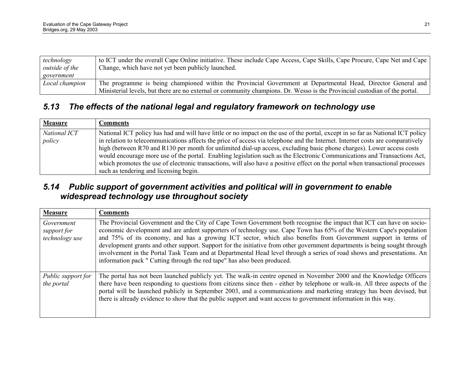| technology     | to ICT under the overall Cape Online initiative. These include Cape Access, Cape Skills, Cape Procure, Cape Net and Cape   |
|----------------|----------------------------------------------------------------------------------------------------------------------------|
| outside of the | Change, which have not yet been publicly launched.                                                                         |
| government     |                                                                                                                            |
| Local champion | The programme is being championed within the Provincial Government at Departmental Head, Director General and              |
|                | Ministerial levels, but there are no external or community champions. Dr. Wesso is the Provincial custodian of the portal. |

## *5.13 The effects of the national legal and regulatory framework on technology use*

| <b>Measure</b>         | <b>Comments</b>                                                                                                                                                                                                                                                                                                                                                                                                                                                                                                                                                                                                                                                                                    |
|------------------------|----------------------------------------------------------------------------------------------------------------------------------------------------------------------------------------------------------------------------------------------------------------------------------------------------------------------------------------------------------------------------------------------------------------------------------------------------------------------------------------------------------------------------------------------------------------------------------------------------------------------------------------------------------------------------------------------------|
| National ICT<br>policy | National ICT policy has had and will have little or no impact on the use of the portal, except in so far as National ICT policy<br>in relation to telecommunications affects the price of access via telephone and the Internet. Internet costs are comparatively<br>high (between R70 and R130 per month for unlimited dial-up access, excluding basic phone charges). Lower access costs<br>would encourage more use of the portal. Enabling legislation such as the Electronic Communications and Transactions Act,<br>which promotes the use of electronic transactions, will also have a positive effect on the portal when transactional processes<br>such as tendering and licensing begin. |

### *5.14 Public support of government activities and political will in government to enable widespread technology use throughout society*

| <b>Measure</b>                              | <b>Comments</b>                                                                                                                                                                                                                                                                                                                                                                                                                                                                                                                                                                                                                                                                                    |
|---------------------------------------------|----------------------------------------------------------------------------------------------------------------------------------------------------------------------------------------------------------------------------------------------------------------------------------------------------------------------------------------------------------------------------------------------------------------------------------------------------------------------------------------------------------------------------------------------------------------------------------------------------------------------------------------------------------------------------------------------------|
| Government<br>support for<br>technology use | The Provincial Government and the City of Cape Town Government both recognise the impact that ICT can have on socio-<br>economic development and are ardent supporters of technology use. Cape Town has 65% of the Western Cape's population<br>and 75% of its economy, and has a growing ICT sector, which also benefits from Government support in terms of<br>development grants and other support. Support for the initiative from other government departments is being sought through<br>involvement in the Portal Task Team and at Departmental Head level through a series of road shows and presentations. An<br>information pack " Cutting through the red tape" has also been produced. |
| Public support for<br>the portal            | The portal has not been launched publicly yet. The walk-in centre opened in November 2000 and the Knowledge Officers<br>there have been responding to questions from citizens since then - either by telephone or walk-in. All three aspects of the<br>portal will be launched publicly in September 2003, and a communications and marketing strategy has been devised, but<br>there is already evidence to show that the public support and want access to government information in this way.                                                                                                                                                                                                   |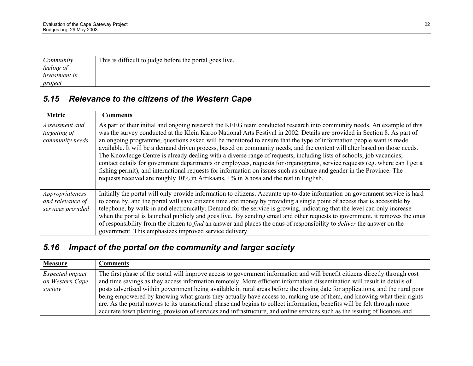| Community            | This is difficult to judge before the portal goes live. |
|----------------------|---------------------------------------------------------|
| feeling of           |                                                         |
| <i>investment in</i> |                                                         |
| project              |                                                         |

# *5.15 Relevance to the citizens of the Western Cape*

| Metric                                                   | <b>Comments</b>                                                                                                                                                                                                                                                                                                                                                                                                                                                                                                                                                                                                                                                                                                                                                                                                                                                                                                                                                                |
|----------------------------------------------------------|--------------------------------------------------------------------------------------------------------------------------------------------------------------------------------------------------------------------------------------------------------------------------------------------------------------------------------------------------------------------------------------------------------------------------------------------------------------------------------------------------------------------------------------------------------------------------------------------------------------------------------------------------------------------------------------------------------------------------------------------------------------------------------------------------------------------------------------------------------------------------------------------------------------------------------------------------------------------------------|
| Assessment and<br>targeting of<br>community needs        | As part of their initial and ongoing research the KEEG team conducted research into community needs. An example of this<br>was the survey conducted at the Klein Karoo National Arts Festival in 2002. Details are provided in Section 8. As part of<br>an ongoing programme, questions asked will be monitored to ensure that the type of information people want is made<br>available. It will be a demand driven process, based on community needs, and the content will alter based on those needs.<br>The Knowledge Centre is already dealing with a diverse range of requests, including lists of schools; job vacancies;<br>contact details for government departments or employees, requests for organograms, service requests (eg. where can I get a<br>fishing permit), and international requests for information on issues such as culture and gender in the Province. The<br>requests received are roughly 10% in Afrikaans, 1% in Xhosa and the rest in English. |
| Appropriateness<br>and relevance of<br>services provided | Initially the portal will only provide information to citizens. Accurate up-to-date information on government service is hard<br>to come by, and the portal will save citizens time and money by providing a single point of access that is accessible by<br>telephone, by walk-in and electronically. Demand for the service is growing, indicating that the level can only increase<br>when the portal is launched publicly and goes live. By sending email and other requests to government, it removes the onus<br>of responsibility from the citizen to <i>find</i> an answer and places the onus of responsibility to <i>deliver</i> the answer on the<br>government. This emphasizes improved service delivery.                                                                                                                                                                                                                                                         |

# *5.16 Impact of the portal on the community and larger society*

| <b>Measure</b>                     | <b>Comments</b>                                                                                                                                                                                                                                         |
|------------------------------------|---------------------------------------------------------------------------------------------------------------------------------------------------------------------------------------------------------------------------------------------------------|
| Expected impact<br>on Western Cape | The first phase of the portal will improve access to government information and will benefit citizens directly through cost<br>and time savings as they access information remotely. More efficient information dissemination will result in details of |
| society                            | posts advertised within government being available in rural areas before the closing date for applications, and the rural poor                                                                                                                          |
|                                    | being empowered by knowing what grants they actually have access to, making use of them, and knowing what their rights<br>are. As the portal moves to its transactional phase and begins to collect information, benefits will be felt through more     |
|                                    | accurate town planning, provision of services and infrastructure, and online services such as the issuing of licences and                                                                                                                               |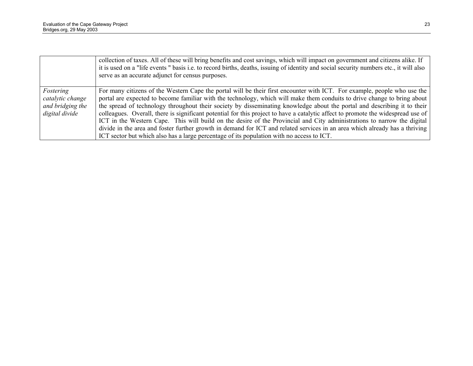|                  | collection of taxes. All of these will bring benefits and cost savings, which will impact on government and citizens alike. If<br>it is used on a "life events" basis i.e. to record births, deaths, issuing of identity and social security numbers etc., it will also<br>serve as an accurate adjunct for census purposes. |
|------------------|------------------------------------------------------------------------------------------------------------------------------------------------------------------------------------------------------------------------------------------------------------------------------------------------------------------------------|
| Fostering        | For many citizens of the Western Cape the portal will be their first encounter with ICT. For example, people who use the                                                                                                                                                                                                     |
| catalytic change | portal are expected to become familiar with the technology, which will make them conduits to drive change to bring about                                                                                                                                                                                                     |
| and bridging the | the spread of technology throughout their society by disseminating knowledge about the portal and describing it to their                                                                                                                                                                                                     |
| digital divide   | colleagues. Overall, there is significant potential for this project to have a catalytic affect to promote the widespread use of                                                                                                                                                                                             |
|                  | ICT in the Western Cape. This will build on the desire of the Provincial and City administrations to narrow the digital                                                                                                                                                                                                      |
|                  | divide in the area and foster further growth in demand for ICT and related services in an area which already has a thriving                                                                                                                                                                                                  |
|                  | ICT sector but which also has a large percentage of its population with no access to ICT.                                                                                                                                                                                                                                    |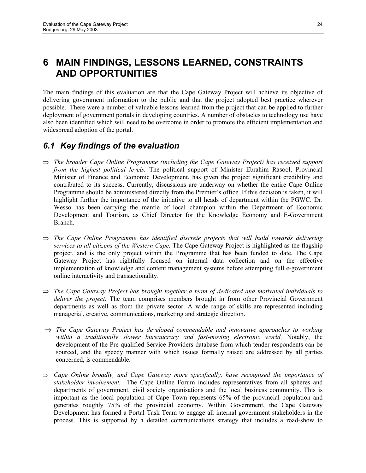# **6 MAIN FINDINGS, LESSONS LEARNED, CONSTRAINTS AND OPPORTUNITIES**

The main findings of this evaluation are that the Cape Gateway Project will achieve its objective of delivering government information to the public and that the project adopted best practice wherever possible. There were a number of valuable lessons learned from the project that can be applied to further deployment of government portals in developing countries. A number of obstacles to technology use have also been identified which will need to be overcome in order to promote the efficient implementation and widespread adoption of the portal.

## *6.1 Key findings of the evaluation*

- ⇒ *The broader Cape Online Programme (including the Cape Gateway Project) has received support from the highest political levels.* The political support of Minister Ebrahim Rasool, Provincial Minister of Finance and Economic Development, has given the project significant credibility and contributed to its success. Currently, discussions are underway on whether the entire Cape Online Programme should be administered directly from the Premier's office. If this decision is taken, it will highlight further the importance of the initiative to all heads of department within the PGWC. Dr. Wesso has been carrying the mantle of local champion within the Department of Economic Development and Tourism, as Chief Director for the Knowledge Economy and E-Government Branch.
- ⇒ *The Cape Online Programme has identified discrete projects that will build towards delivering services to all citizens of the Western Cape.* The Cape Gateway Project is highlighted as the flagship project, and is the only project within the Programme that has been funded to date*.* The Cape Gateway Project has rightfully focused on internal data collection and on the effective implementation of knowledge and content management systems before attempting full e-government online interactivity and transactionality.
- ⇒ *The Cape Gateway Project has brought together a team of dedicated and motivated individuals to deliver the project.* The team comprises members brought in from other Provincial Government departments as well as from the private sector. A wide range of skills are represented including managerial, creative, communications, marketing and strategic direction.
- ⇒ *The Cape Gateway Project has developed commendable and innovative approaches to working within a traditionally slower bureaucracy and fast-moving electronic world.* Notably, the development of the Pre-qualified Service Providers database from which tender respondents can be sourced, and the speedy manner with which issues formally raised are addressed by all parties concerned, is commendable.
- ⇒ *Cape Online broadly, and Cape Gateway more specifically, have recognised the importance of stakeholder involvement.* The Cape Online Forum includes representatives from all spheres and departments of government, civil society organisations and the local business community. This is important as the local population of Cape Town represents 65% of the provincial population and generates roughly 75% of the provincial economy. Within Government, the Cape Gateway Development has formed a Portal Task Team to engage all internal government stakeholders in the process. This is supported by a detailed communications strategy that includes a road-show to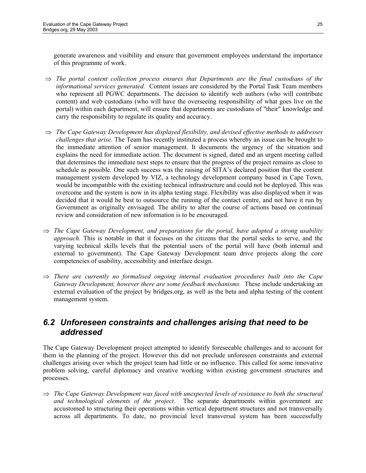generate awareness and visibility and ensure that government employees understand the importance of this programme of work.

- ⇒ *The portal content collection process ensures that Departments are the final custodians of the informational services generated.* Content issues are considered by the Portal Task Team members who represent all PGWC departments. The decision to identify web authors (who will contribute content) and web custodians (who will have the overseeing responsibility of what goes live on the portal) within each department, will ensure that departments are custodians of "their" knowledge and carry the responsibility to regulate its quality and accuracy.
- ⇒ *The Cape Gateway Development has displayed flexibility, and devised effective methods to addresses challenges that arise*. The Team has recently instituted a process whereby an issue can be brought to the immediate attention of senior management. It documents the urgency of the situation and explains the need for immediate action. The document is signed, dated and an urgent meeting called that determines the immediate next steps to ensure that the progress of the project remains as close to schedule as possible. One such success was the raising of SITA's declared position that the content management system developed by VIZ, a technology development company based in Cape Town, would be incompatible with the existing technical infrastructure and could not be deployed. This was overcome and the system is now in its alpha testing stage. Flexibility was also displayed when it was decided that it would be best to outsource the running of the contact centre, and not have it run by Government as originally envisaged. The ability to alter the course of actions based on continual review and consideration of new information is to be encouraged.
- ⇒ *The Cape Gateway Development, and preparations for the portal, have adopted a strong usability approach.* This is notable in that it focuses on the citizens that the portal seeks to serve, and the varying technical skills levels that the potential users of the portal will have (both internal and external to government). The Cape Gateway Development team drive projects along the core competencies of usability, accessibility and interface design.
- ⇒ *There are currently no formalised ongoing internal evaluation procedures built into the Cape Gateway Development, however there are some feedback mechanisms.* These include undertaking an external evaluation of the project by bridges.org, as well as the beta and alpha testing of the content management system.

#### *6.2 Unforeseen constraints and challenges arising that need to be addressed*

The Cape Gateway Development project attempted to identify foreseeable challenges and to account for them in the planning of the project. However this did not preclude unforeseen constraints and external challenges arising over which the project team had little or no influence. This called for some innovative problem solving, careful diplomacy and creative working within existing government structures and processes.

⇒ *The Cape Gateway Development was faced with unexpected levels of resistance to both the structural and technological elements of the project*. The separate departments within government are accustomed to structuring their operations within vertical department structures and not transversally across all departments. To date, no provincial level transversal system has been successfully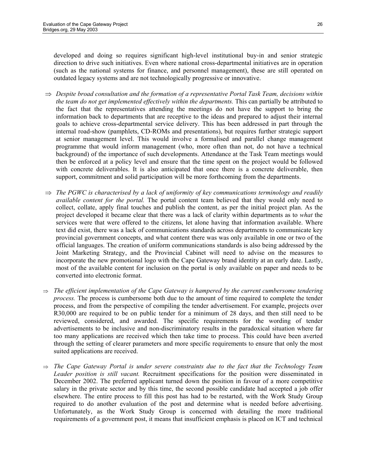developed and doing so requires significant high-level institutional buy-in and senior strategic direction to drive such initiatives. Even where national cross-departmental initiatives are in operation (such as the national systems for finance, and personnel management), these are still operated on outdated legacy systems and are not technologically progressive or innovative.

- ⇒ *Despite broad consultation and the formation of a representative Portal Task Team, decisions within the team do not get implemented effectively within the departments.* This can partially be attributed to the fact that the representatives attending the meetings do not have the support to bring the information back to departments that are receptive to the ideas and prepared to adjust their internal goals to achieve cross-departmental service delivery. This has been addressed in part through the internal road-show (pamphlets, CD-ROMs and presentations), but requires further strategic support at senior management level. This would involve a formalised and parallel change management programme that would inform management (who, more often than not, do not have a technical background) of the importance of such developments. Attendance at the Task Team meetings would then be enforced at a policy level and ensure that the time spent on the project would be followed with concrete deliverables. It is also anticipated that once there is a concrete deliverable, then support, commitment and solid participation will be more forthcoming from the departments.
- ⇒ *The PGWC is characterised by a lack of uniformity of key communications terminology and readily available content for the portal.* The portal content team believed that they would only need to collect, collate, apply final touches and publish the content, as per the initial project plan. As the project developed it became clear that there was a lack of clarity within departments as to *what* the services were that were offered to the citizens, let alone having that information available. Where text did exist, there was a lack of communications standards across departments to communicate key provincial government concepts, and what content there was was only available in one or two of the official languages. The creation of uniform communications standards is also being addressed by the Joint Marketing Strategy, and the Provincial Cabinet will need to advise on the measures to incorporate the new promotional logo with the Cape Gateway brand identity at an early date. Lastly, most of the available content for inclusion on the portal is only available on paper and needs to be converted into electronic format.
- ⇒ *The efficient implementation of the Cape Gateway is hampered by the current cumbersome tendering process.* The process is cumbersome both due to the amount of time required to complete the tender process, and from the perspective of compiling the tender advertisement. For example, projects over R30,000 are required to be on public tender for a minimum of 28 days, and then still need to be reviewed, considered, and awarded. The specific requirements for the wording of tender advertisements to be inclusive and non-discriminatory results in the paradoxical situation where far too many applications are received which then take time to process. This could have been averted through the setting of clearer parameters and more specific requirements to ensure that only the most suited applications are received.
- ⇒ *The Cape Gateway Portal is under severe constraints due to the fact that the Technology Team Leader position is still vacant.* Recruitment specifications for the position were disseminated in December 2002. The preferred applicant turned down the position in favour of a more competitive salary in the private sector and by this time, the second possible candidate had accepted a job offer elsewhere. The entire process to fill this post has had to be restarted, with the Work Study Group required to do another evaluation of the post and determine what is needed before advertising. Unfortunately, as the Work Study Group is concerned with detailing the more traditional requirements of a government post, it means that insufficient emphasis is placed on ICT and technical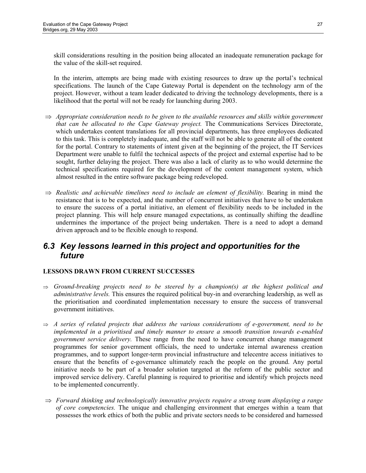skill considerations resulting in the position being allocated an inadequate remuneration package for the value of the skill-set required.

In the interim, attempts are being made with existing resources to draw up the portal's technical specifications. The launch of the Cape Gateway Portal is dependent on the technology arm of the project. However, without a team leader dedicated to driving the technology developments, there is a likelihood that the portal will not be ready for launching during 2003.

- ⇒ *Appropriate consideration needs to be given to the available resources and skills within government that can be allocated to the Cape Gateway project.* The Communications Services Directorate, which undertakes content translations for all provincial departments, has three employees dedicated to this task. This is completely inadequate, and the staff will not be able to generate all of the content for the portal. Contrary to statements of intent given at the beginning of the project, the IT Services Department were unable to fulfil the technical aspects of the project and external expertise had to be sought, further delaying the project. There was also a lack of clarity as to who would determine the technical specifications required for the development of the content management system, which almost resulted in the entire software package being redeveloped.
- ⇒ *Realistic and achievable timelines need to include an element of flexibility.* Bearing in mind the resistance that is to be expected, and the number of concurrent initiatives that have to be undertaken to ensure the success of a portal initiative, an element of flexibility needs to be included in the project planning. This will help ensure managed expectations, as continually shifting the deadline undermines the importance of the project being undertaken. There is a need to adopt a demand driven approach and to be flexible enough to respond.

#### *6.3 Key lessons learned in this project and opportunities for the future*

#### **LESSONS DRAWN FROM CURRENT SUCCESSES**

- ⇒ *Ground-breaking projects need to be steered by a champion(s) at the highest political and administrative levels.* This ensures the required political buy-in and overarching leadership, as well as the prioritisation and coordinated implementation necessary to ensure the success of transversal government initiatives.
- ⇒ *A series of related projects that address the various considerations of e-government, need to be implemented in a prioritised and timely manner to ensure a smooth transition towards e-enabled government service delivery.* These range from the need to have concurrent change management programmes for senior government officials, the need to undertake internal awareness creation programmes, and to support longer-term provincial infrastructure and telecentre access initiatives to ensure that the benefits of e-governance ultimately reach the people on the ground. Any portal initiative needs to be part of a broader solution targeted at the reform of the public sector and improved service delivery. Careful planning is required to prioritise and identify which projects need to be implemented concurrently.
- ⇒ *Forward thinking and technologically innovative projects require a strong team displaying a range of core competencies.* The unique and challenging environment that emerges within a team that possesses the work ethics of both the public and private sectors needs to be considered and harnessed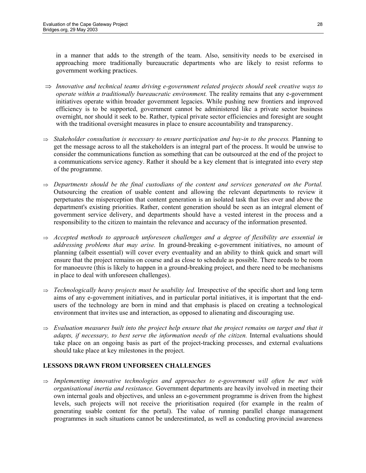in a manner that adds to the strength of the team. Also, sensitivity needs to be exercised in approaching more traditionally bureaucratic departments who are likely to resist reforms to government working practices.

- ⇒ *Innovative and technical teams driving e-government related projects should seek creative ways to operate within a traditionally bureaucratic environment.* The reality remains that any e-government initiatives operate within broader government legacies. While pushing new frontiers and improved efficiency is to be supported, government cannot be administered like a private sector business overnight, nor should it seek to be. Rather, typical private sector efficiencies and foresight are sought with the traditional oversight measures in place to ensure accountability and transparency.
- ⇒ *Stakeholder consultation is necessary to ensure participation and buy-in to the process.* Planning to get the message across to all the stakeholders is an integral part of the process. It would be unwise to consider the communications function as something that can be outsourced at the end of the project to a communications service agency. Rather it should be a key element that is integrated into every step of the programme.
- ⇒ *Departments should be the final custodians of the content and services generated on the Portal.*  Outsourcing the creation of usable content and allowing the relevant departments to review it perpetuates the misperception that content generation is an isolated task that lies over and above the department's existing priorities. Rather, content generation should be seen as an integral element of government service delivery, and departments should have a vested interest in the process and a responsibility to the citizen to maintain the relevance and accuracy of the information presented.
- ⇒ *Accepted methods to approach unforeseen challenges and a degree of flexibility are essential in addressing problems that may arise.* In ground-breaking e-government initiatives, no amount of planning (albeit essential) will cover every eventuality and an ability to think quick and smart will ensure that the project remains on course and as close to schedule as possible. There needs to be room for manoeuvre (this is likely to happen in a ground-breaking project, and there need to be mechanisms in place to deal with unforeseen challenges).
- ⇒ *Technologically heavy projects must be usability led.* Irrespective of the specific short and long term aims of any e-government initiatives, and in particular portal initiatives, it is important that the endusers of the technology are born in mind and that emphasis is placed on creating a technological environment that invites use and interaction, as opposed to alienating and discouraging use.
- ⇒ *Evaluation measures built into the project help ensure that the project remains on target and that it adapts, if necessary, to best serve the information needs of the citizen.* Internal evaluations should take place on an ongoing basis as part of the project-tracking processes, and external evaluations should take place at key milestones in the project.

#### **LESSONS DRAWN FROM UNFORSEEN CHALLENGES**

⇒ *Implementing innovative technologies and approaches to e-government will often be met with organisational inertia and resistance.* Government departments are heavily involved in meeting their own internal goals and objectives, and unless an e-government programme is driven from the highest levels, such projects will not receive the prioritisation required (for example in the realm of generating usable content for the portal). The value of running parallel change management programmes in such situations cannot be underestimated, as well as conducting provincial awareness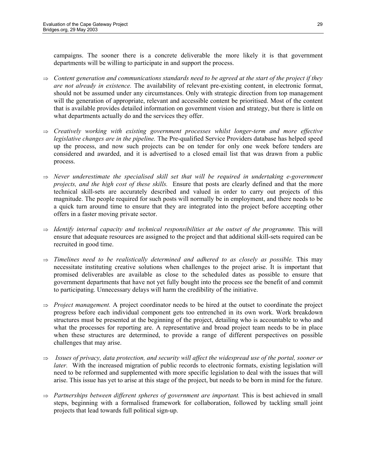campaigns. The sooner there is a concrete deliverable the more likely it is that government departments will be willing to participate in and support the process.

- ⇒ *Content generation and communications standards need to be agreed at the start of the project if they are not already in existence.* The availability of relevant pre-existing content, in electronic format, should not be assumed under any circumstances. Only with strategic direction from top management will the generation of appropriate, relevant and accessible content be prioritised. Most of the content that is available provides detailed information on government vision and strategy, but there is little on what departments actually do and the services they offer.
- ⇒ *Creatively working with existing government processes whilst longer-term and more effective legislative changes are in the pipeline.* The Pre-qualified Service Providers database has helped speed up the process, and now such projects can be on tender for only one week before tenders are considered and awarded, and it is advertised to a closed email list that was drawn from a public process.
- ⇒ *Never underestimate the specialised skill set that will be required in undertaking e-government projects, and the high cost of these skills.* Ensure that posts are clearly defined and that the more technical skill-sets are accurately described and valued in order to carry out projects of this magnitude. The people required for such posts will normally be in employment, and there needs to be a quick turn around time to ensure that they are integrated into the project before accepting other offers in a faster moving private sector.
- ⇒ *Identify internal capacity and technical responsibilities at the outset of the programme.* This will ensure that adequate resources are assigned to the project and that additional skill-sets required can be recruited in good time.
- ⇒ *Timelines need to be realistically determined and adhered to as closely as possible.* This may necessitate instituting creative solutions when challenges to the project arise. It is important that promised deliverables are available as close to the scheduled dates as possible to ensure that government departments that have not yet fully bought into the process see the benefit of and commit to participating. Unnecessary delays will harm the credibility of the initiative.
- ⇒ *Project management.* A project coordinator needs to be hired at the outset to coordinate the project progress before each individual component gets too entrenched in its own work. Work breakdown structures must be presented at the beginning of the project, detailing who is accountable to who and what the processes for reporting are. A representative and broad project team needs to be in place when these structures are determined, to provide a range of different perspectives on possible challenges that may arise.
- ⇒ *Issues of privacy, data protection, and security will affect the widespread use of the portal, sooner or later.* With the increased migration of public records to electronic formats, existing legislation will need to be reformed and supplemented with more specific legislation to deal with the issues that will arise. This issue has yet to arise at this stage of the project, but needs to be born in mind for the future.
- ⇒ *Partnerships between different spheres of government are important.* This is best achieved in small steps, beginning with a formalised framework for collaboration, followed by tackling small joint projects that lead towards full political sign-up.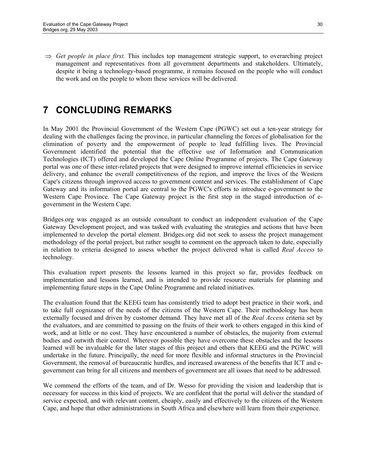⇒ *Get people in place first.* This includes top management strategic support, to overarching project management and representatives from all government departments and stakeholders. Ultimately, despite it being a technology-based programme, it remains focused on the people who will conduct the work and on the people to whom these services will be delivered.

# **7 CONCLUDING REMARKS**

In May 2001 the Provincial Government of the Western Cape (PGWC) set out a ten-year strategy for dealing with the challenges facing the province, in particular channeling the forces of globalisation for the elimination of poverty and the empowerment of people to lead fulfilling lives. The Provincial Government identified the potential that the effective use of Information and Communication Technologies (ICT) offered and developed the Cape Online Programme of projects. The Cape Gateway portal was one of these inter-related projects that were designed to improve internal efficiencies in service delivery, and enhance the overall competitiveness of the region, and improve the lives of the Western Cape's citizens through improved access to government content and services. The establishment of Cape Gateway and its information portal are central to the PGWC's efforts to introduce e-government to the Western Cape Province. The Cape Gateway project is the first step in the staged introduction of egovernment in the Western Cape.

Bridges.org was engaged as an outside consultant to conduct an independent evaluation of the Cape Gateway Development project, and was tasked with evaluating the strategies and actions that have been implemented to develop the portal element. Bridges.org did not seek to assess the project management methodology of the portal project, but rather sought to comment on the approach taken to date, especially in relation to criteria designed to assess whether the project delivered what is called *Real Access* to technology.

This evaluation report presents the lessons learned in this project so far, provides feedback on implementation and lessons learned, and is intended to provide resource materials for planning and implementing future steps in the Cape Online Programme and related initiatives.

The evaluation found that the KEEG team has consistently tried to adopt best practice in their work, and to take full cognizance of the needs of the citizens of the Western Cape. Their methodology has been externally focused and driven by customer demand. They have met all of the *Real Access* criteria set by the evaluators, and are committed to passing on the fruits of their work to others engaged in this kind of work, and at little or no cost. They have encountered a number of obstacles, the majority from external bodies and outwith their control. Wherever possible they have overcome these obstacles and the lessons learned will be invaluable for the later stages of this project and others that KEEG and the PGWC will undertake in the future. Principally, the need for more flexible and informal structures in the Provincial Government, the removal of bureaucratic hurdles, and increased awareness of the benefits that ICT and egovernment can bring for all citizens and members of government are all issues that need to be addressed.

We commend the efforts of the team, and of Dr. Wesso for providing the vision and leadership that is necessary for success in this kind of projects. We are confident that the portal will deliver the standard of service expected, and with relevant content, cheaply, easily and effectively to the citizens of the Western Cape, and hope that other administrations in South Africa and elsewhere will learn from their experience.